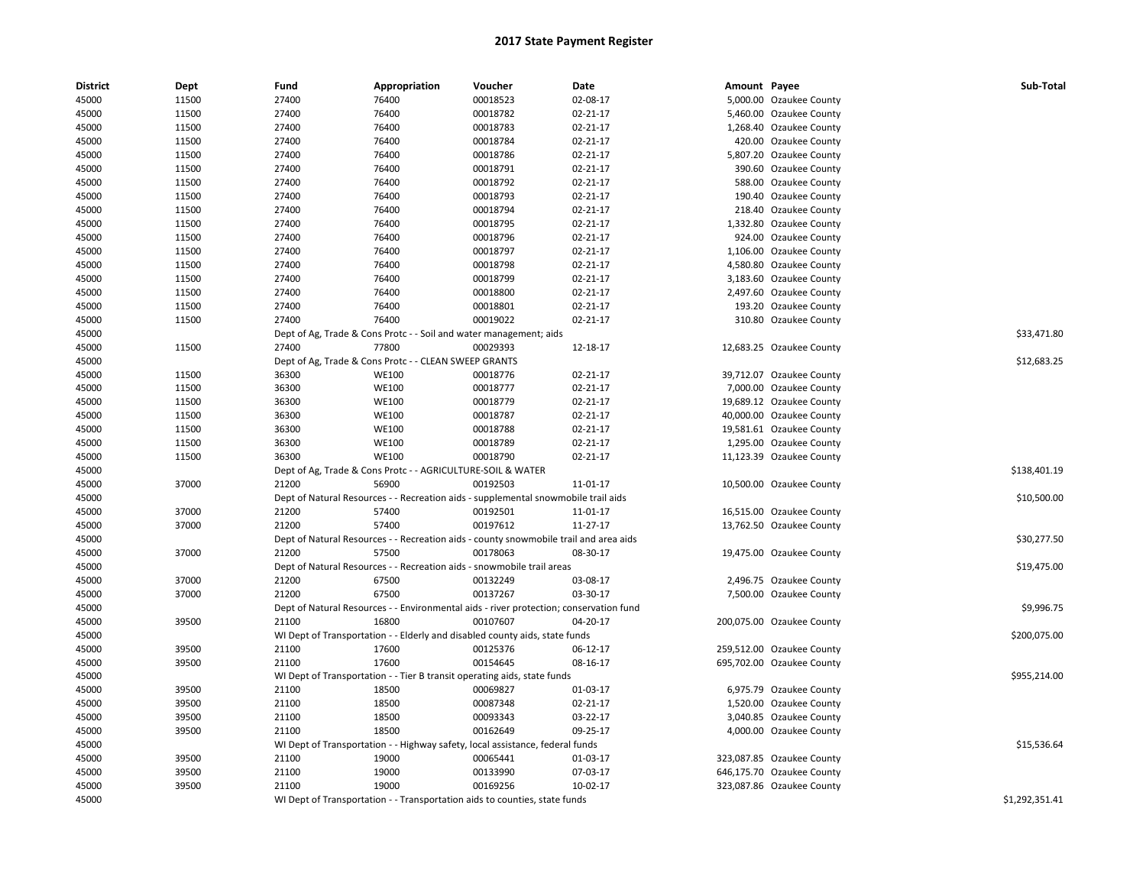| <b>District</b> | Dept  | Fund  | Appropriation                                                                          | Voucher  | Date     | Amount Payee |                           | Sub-Total      |
|-----------------|-------|-------|----------------------------------------------------------------------------------------|----------|----------|--------------|---------------------------|----------------|
| 45000           | 11500 | 27400 | 76400                                                                                  | 00018523 | 02-08-17 |              | 5,000.00 Ozaukee County   |                |
| 45000           | 11500 | 27400 | 76400                                                                                  | 00018782 | 02-21-17 |              | 5,460.00 Ozaukee County   |                |
| 45000           | 11500 | 27400 | 76400                                                                                  | 00018783 | 02-21-17 |              | 1,268.40 Ozaukee County   |                |
| 45000           | 11500 | 27400 | 76400                                                                                  | 00018784 | 02-21-17 |              | 420.00 Ozaukee County     |                |
| 45000           | 11500 | 27400 | 76400                                                                                  | 00018786 | 02-21-17 |              | 5,807.20 Ozaukee County   |                |
| 45000           | 11500 | 27400 | 76400                                                                                  | 00018791 | 02-21-17 |              | 390.60 Ozaukee County     |                |
| 45000           | 11500 | 27400 | 76400                                                                                  | 00018792 | 02-21-17 |              | 588.00 Ozaukee County     |                |
| 45000           | 11500 | 27400 | 76400                                                                                  | 00018793 | 02-21-17 |              | 190.40 Ozaukee County     |                |
| 45000           | 11500 | 27400 | 76400                                                                                  | 00018794 | 02-21-17 |              | 218.40 Ozaukee County     |                |
| 45000           | 11500 | 27400 | 76400                                                                                  | 00018795 | 02-21-17 |              | 1,332.80 Ozaukee County   |                |
| 45000           | 11500 | 27400 | 76400                                                                                  | 00018796 | 02-21-17 |              | 924.00 Ozaukee County     |                |
| 45000           | 11500 | 27400 | 76400                                                                                  | 00018797 | 02-21-17 |              | 1,106.00 Ozaukee County   |                |
| 45000           | 11500 | 27400 | 76400                                                                                  | 00018798 | 02-21-17 |              | 4,580.80 Ozaukee County   |                |
| 45000           | 11500 | 27400 | 76400                                                                                  | 00018799 | 02-21-17 |              | 3,183.60 Ozaukee County   |                |
| 45000           | 11500 | 27400 | 76400                                                                                  | 00018800 | 02-21-17 |              | 2,497.60 Ozaukee County   |                |
| 45000           | 11500 | 27400 | 76400                                                                                  | 00018801 | 02-21-17 |              | 193.20 Ozaukee County     |                |
| 45000           | 11500 | 27400 | 76400                                                                                  | 00019022 | 02-21-17 |              | 310.80 Ozaukee County     |                |
| 45000           |       |       | Dept of Ag, Trade & Cons Protc - - Soil and water management; aids                     |          |          |              |                           | \$33,471.80    |
| 45000           | 11500 | 27400 | 77800                                                                                  | 00029393 | 12-18-17 |              | 12,683.25 Ozaukee County  |                |
| 45000           |       |       | Dept of Ag, Trade & Cons Protc - - CLEAN SWEEP GRANTS                                  |          |          |              |                           | \$12,683.25    |
| 45000           | 11500 | 36300 | <b>WE100</b>                                                                           | 00018776 | 02-21-17 |              | 39,712.07 Ozaukee County  |                |
| 45000           | 11500 | 36300 | <b>WE100</b>                                                                           | 00018777 | 02-21-17 |              | 7,000.00 Ozaukee County   |                |
| 45000           | 11500 | 36300 | <b>WE100</b>                                                                           | 00018779 | 02-21-17 |              | 19,689.12 Ozaukee County  |                |
| 45000           | 11500 | 36300 | <b>WE100</b>                                                                           | 00018787 | 02-21-17 |              | 40,000.00 Ozaukee County  |                |
| 45000           | 11500 | 36300 | <b>WE100</b>                                                                           | 00018788 | 02-21-17 |              | 19,581.61 Ozaukee County  |                |
| 45000           | 11500 | 36300 | <b>WE100</b>                                                                           | 00018789 | 02-21-17 |              | 1,295.00 Ozaukee County   |                |
| 45000           | 11500 | 36300 | <b>WE100</b>                                                                           | 00018790 | 02-21-17 |              | 11,123.39 Ozaukee County  |                |
| 45000           |       |       | Dept of Ag, Trade & Cons Protc - - AGRICULTURE-SOIL & WATER                            |          |          |              |                           | \$138,401.19   |
| 45000           | 37000 | 21200 | 56900                                                                                  | 00192503 | 11-01-17 |              | 10,500.00 Ozaukee County  |                |
| 45000           |       |       | Dept of Natural Resources - - Recreation aids - supplemental snowmobile trail aids     |          |          |              |                           | \$10,500.00    |
| 45000           | 37000 | 21200 | 57400                                                                                  | 00192501 | 11-01-17 |              | 16,515.00 Ozaukee County  |                |
| 45000           | 37000 | 21200 | 57400                                                                                  | 00197612 | 11-27-17 |              | 13,762.50 Ozaukee County  |                |
| 45000           |       |       | Dept of Natural Resources - - Recreation aids - county snowmobile trail and area aids  |          |          |              |                           | \$30,277.50    |
| 45000           | 37000 | 21200 | 57500                                                                                  | 00178063 | 08-30-17 |              | 19,475.00 Ozaukee County  |                |
| 45000           |       |       | Dept of Natural Resources - - Recreation aids - snowmobile trail areas                 |          |          |              |                           | \$19,475.00    |
| 45000           | 37000 | 21200 | 67500                                                                                  | 00132249 | 03-08-17 |              | 2,496.75 Ozaukee County   |                |
| 45000           | 37000 | 21200 | 67500                                                                                  | 00137267 | 03-30-17 |              | 7,500.00 Ozaukee County   |                |
| 45000           |       |       | Dept of Natural Resources - - Environmental aids - river protection; conservation fund |          |          |              |                           | \$9,996.75     |
| 45000           | 39500 | 21100 | 16800                                                                                  | 00107607 | 04-20-17 |              | 200,075.00 Ozaukee County |                |
| 45000           |       |       | WI Dept of Transportation - - Elderly and disabled county aids, state funds            |          |          |              |                           | \$200,075.00   |
| 45000           | 39500 | 21100 | 17600                                                                                  | 00125376 | 06-12-17 |              | 259,512.00 Ozaukee County |                |
| 45000           | 39500 | 21100 | 17600                                                                                  | 00154645 | 08-16-17 |              | 695,702.00 Ozaukee County |                |
| 45000           |       |       | WI Dept of Transportation - - Tier B transit operating aids, state funds               |          |          |              |                           | \$955,214.00   |
| 45000           | 39500 | 21100 | 18500                                                                                  | 00069827 | 01-03-17 |              | 6,975.79 Ozaukee County   |                |
| 45000           | 39500 | 21100 | 18500                                                                                  | 00087348 | 02-21-17 |              | 1,520.00 Ozaukee County   |                |
| 45000           | 39500 | 21100 | 18500                                                                                  | 00093343 | 03-22-17 |              | 3,040.85 Ozaukee County   |                |
| 45000           | 39500 | 21100 | 18500                                                                                  | 00162649 | 09-25-17 |              | 4,000.00 Ozaukee County   |                |
| 45000           |       |       | WI Dept of Transportation - - Highway safety, local assistance, federal funds          |          |          |              |                           | \$15,536.64    |
| 45000           | 39500 | 21100 | 19000                                                                                  | 00065441 | 01-03-17 |              | 323,087.85 Ozaukee County |                |
| 45000           | 39500 | 21100 | 19000                                                                                  | 00133990 | 07-03-17 |              | 646,175.70 Ozaukee County |                |
| 45000           | 39500 | 21100 | 19000                                                                                  | 00169256 | 10-02-17 |              | 323,087.86 Ozaukee County |                |
| 45000           |       |       | WI Dept of Transportation - - Transportation aids to counties, state funds             |          |          |              |                           | \$1,292,351.41 |
|                 |       |       |                                                                                        |          |          |              |                           |                |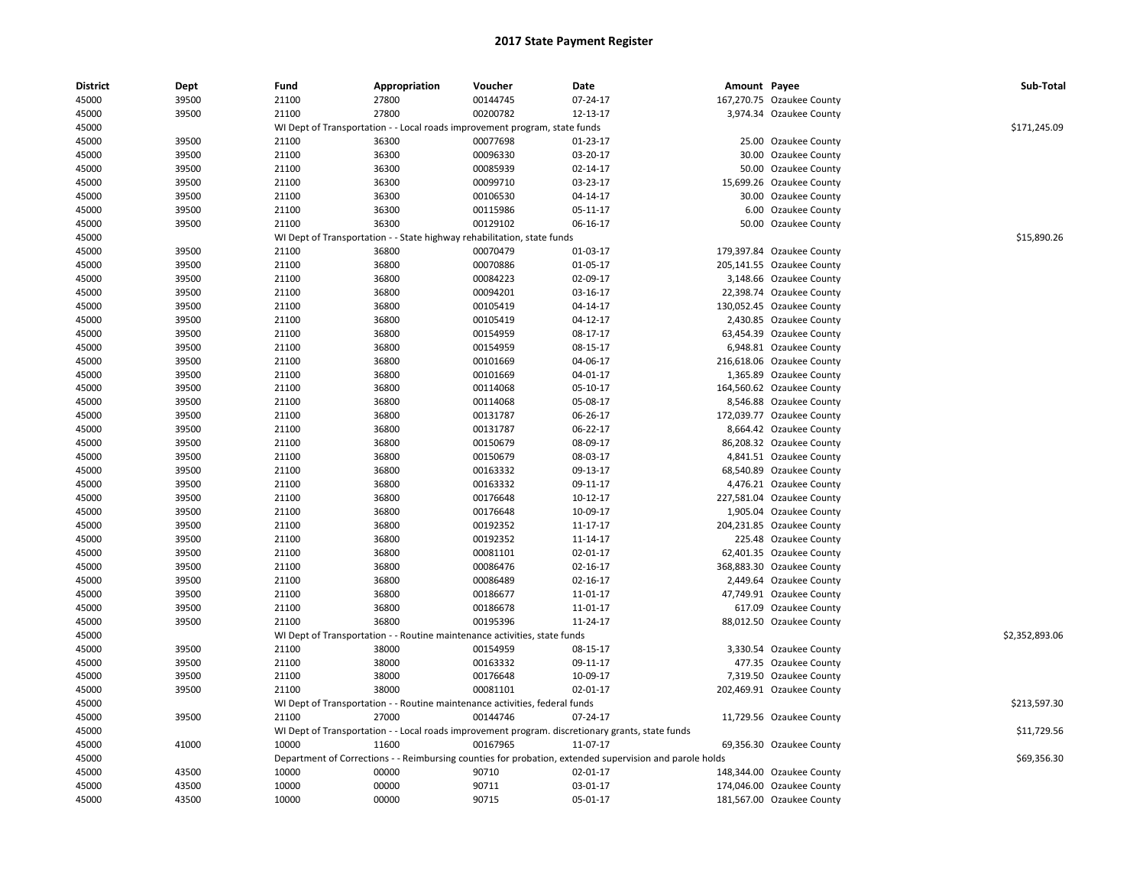| District | Dept  | Fund  | Appropriation                                                               | Voucher              | Date                                                                                                    | Amount Payee |                           | Sub-Total      |
|----------|-------|-------|-----------------------------------------------------------------------------|----------------------|---------------------------------------------------------------------------------------------------------|--------------|---------------------------|----------------|
| 45000    | 39500 | 21100 | 27800                                                                       | 00144745             | 07-24-17                                                                                                |              | 167,270.75 Ozaukee County |                |
| 45000    | 39500 | 21100 | 27800                                                                       | 00200782             | 12-13-17                                                                                                |              | 3,974.34 Ozaukee County   |                |
| 45000    |       |       | WI Dept of Transportation - - Local roads improvement program, state funds  |                      |                                                                                                         |              |                           | \$171,245.09   |
| 45000    | 39500 | 21100 | 36300                                                                       | 00077698             | 01-23-17                                                                                                |              | 25.00 Ozaukee County      |                |
| 45000    | 39500 | 21100 | 36300                                                                       | 00096330             | 03-20-17                                                                                                |              | 30.00 Ozaukee County      |                |
| 45000    | 39500 | 21100 | 36300                                                                       | 00085939             | 02-14-17                                                                                                |              | 50.00 Ozaukee County      |                |
| 45000    | 39500 | 21100 | 36300                                                                       | 00099710             | 03-23-17                                                                                                |              | 15,699.26 Ozaukee County  |                |
| 45000    | 39500 | 21100 | 36300                                                                       | 00106530             | 04-14-17                                                                                                |              | 30.00 Ozaukee County      |                |
| 45000    | 39500 | 21100 | 36300                                                                       | 00115986             | 05-11-17                                                                                                |              | 6.00 Ozaukee County       |                |
| 45000    | 39500 | 21100 | 36300                                                                       | 00129102             | 06-16-17                                                                                                |              | 50.00 Ozaukee County      |                |
| 45000    |       |       | WI Dept of Transportation - - State highway rehabilitation, state funds     |                      |                                                                                                         |              |                           | \$15,890.26    |
| 45000    | 39500 | 21100 | 36800                                                                       | 00070479             | 01-03-17                                                                                                |              | 179,397.84 Ozaukee County |                |
| 45000    | 39500 | 21100 | 36800                                                                       | 00070886             | 01-05-17                                                                                                |              | 205,141.55 Ozaukee County |                |
| 45000    | 39500 | 21100 | 36800                                                                       | 00084223             | 02-09-17                                                                                                |              | 3,148.66 Ozaukee County   |                |
| 45000    | 39500 | 21100 | 36800                                                                       | 00094201             | 03-16-17                                                                                                |              | 22,398.74 Ozaukee County  |                |
| 45000    | 39500 | 21100 | 36800                                                                       | 00105419             | 04-14-17                                                                                                |              | 130,052.45 Ozaukee County |                |
| 45000    | 39500 | 21100 | 36800                                                                       | 00105419             | 04-12-17                                                                                                |              | 2,430.85 Ozaukee County   |                |
| 45000    | 39500 | 21100 | 36800                                                                       | 00154959             | 08-17-17                                                                                                |              | 63,454.39 Ozaukee County  |                |
| 45000    | 39500 | 21100 | 36800                                                                       | 00154959             | 08-15-17                                                                                                |              | 6,948.81 Ozaukee County   |                |
| 45000    | 39500 | 21100 | 36800                                                                       | 00101669             | 04-06-17                                                                                                |              | 216,618.06 Ozaukee County |                |
| 45000    | 39500 | 21100 | 36800                                                                       | 00101669             | 04-01-17                                                                                                |              | 1,365.89 Ozaukee County   |                |
| 45000    | 39500 | 21100 | 36800                                                                       | 00114068             | 05-10-17                                                                                                |              | 164,560.62 Ozaukee County |                |
| 45000    | 39500 | 21100 | 36800                                                                       | 00114068             | 05-08-17                                                                                                |              | 8,546.88 Ozaukee County   |                |
| 45000    | 39500 | 21100 | 36800                                                                       | 00131787             | 06-26-17                                                                                                |              | 172,039.77 Ozaukee County |                |
| 45000    | 39500 | 21100 | 36800                                                                       | 00131787             | 06-22-17                                                                                                |              | 8,664.42 Ozaukee County   |                |
| 45000    | 39500 | 21100 | 36800                                                                       | 00150679             | 08-09-17                                                                                                |              | 86,208.32 Ozaukee County  |                |
| 45000    | 39500 | 21100 | 36800                                                                       | 00150679             | 08-03-17                                                                                                |              |                           |                |
|          |       |       |                                                                             |                      |                                                                                                         |              | 4,841.51 Ozaukee County   |                |
| 45000    | 39500 | 21100 | 36800                                                                       | 00163332             | 09-13-17                                                                                                |              | 68,540.89 Ozaukee County  |                |
| 45000    | 39500 | 21100 | 36800<br>36800                                                              | 00163332<br>00176648 | 09-11-17                                                                                                |              | 4,476.21 Ozaukee County   |                |
| 45000    | 39500 | 21100 |                                                                             |                      | 10-12-17                                                                                                |              | 227,581.04 Ozaukee County |                |
| 45000    | 39500 | 21100 | 36800                                                                       | 00176648             | 10-09-17                                                                                                |              | 1,905.04 Ozaukee County   |                |
| 45000    | 39500 | 21100 | 36800                                                                       | 00192352             | 11-17-17                                                                                                |              | 204,231.85 Ozaukee County |                |
| 45000    | 39500 | 21100 | 36800                                                                       | 00192352             | 11-14-17                                                                                                |              | 225.48 Ozaukee County     |                |
| 45000    | 39500 | 21100 | 36800                                                                       | 00081101             | 02-01-17                                                                                                |              | 62,401.35 Ozaukee County  |                |
| 45000    | 39500 | 21100 | 36800                                                                       | 00086476             | 02-16-17                                                                                                |              | 368,883.30 Ozaukee County |                |
| 45000    | 39500 | 21100 | 36800                                                                       | 00086489             | 02-16-17                                                                                                |              | 2,449.64 Ozaukee County   |                |
| 45000    | 39500 | 21100 | 36800                                                                       | 00186677             | 11-01-17                                                                                                |              | 47,749.91 Ozaukee County  |                |
| 45000    | 39500 | 21100 | 36800                                                                       | 00186678             | 11-01-17                                                                                                |              | 617.09 Ozaukee County     |                |
| 45000    | 39500 | 21100 | 36800                                                                       | 00195396             | 11-24-17                                                                                                |              | 88,012.50 Ozaukee County  |                |
| 45000    |       |       | WI Dept of Transportation - - Routine maintenance activities, state funds   |                      |                                                                                                         |              |                           | \$2,352,893.06 |
| 45000    | 39500 | 21100 | 38000                                                                       | 00154959             | 08-15-17                                                                                                |              | 3,330.54 Ozaukee County   |                |
| 45000    | 39500 | 21100 | 38000                                                                       | 00163332             | 09-11-17                                                                                                |              | 477.35 Ozaukee County     |                |
| 45000    | 39500 | 21100 | 38000                                                                       | 00176648             | 10-09-17                                                                                                |              | 7,319.50 Ozaukee County   |                |
| 45000    | 39500 | 21100 | 38000                                                                       | 00081101             | 02-01-17                                                                                                |              | 202,469.91 Ozaukee County |                |
| 45000    |       |       | WI Dept of Transportation - - Routine maintenance activities, federal funds |                      |                                                                                                         |              |                           | \$213,597.30   |
| 45000    | 39500 | 21100 | 27000                                                                       | 00144746             | 07-24-17                                                                                                |              | 11,729.56 Ozaukee County  |                |
| 45000    |       |       |                                                                             |                      | WI Dept of Transportation - - Local roads improvement program. discretionary grants, state funds        |              |                           | \$11,729.56    |
| 45000    | 41000 | 10000 | 11600                                                                       | 00167965             | 11-07-17                                                                                                |              | 69,356.30 Ozaukee County  |                |
| 45000    |       |       |                                                                             |                      | Department of Corrections - - Reimbursing counties for probation, extended supervision and parole holds |              |                           | \$69,356.30    |
| 45000    | 43500 | 10000 | 00000                                                                       | 90710                | 02-01-17                                                                                                |              | 148,344.00 Ozaukee County |                |
| 45000    | 43500 | 10000 | 00000                                                                       | 90711                | 03-01-17                                                                                                |              | 174,046.00 Ozaukee County |                |
| 45000    | 43500 | 10000 | 00000                                                                       | 90715                | 05-01-17                                                                                                |              | 181,567.00 Ozaukee County |                |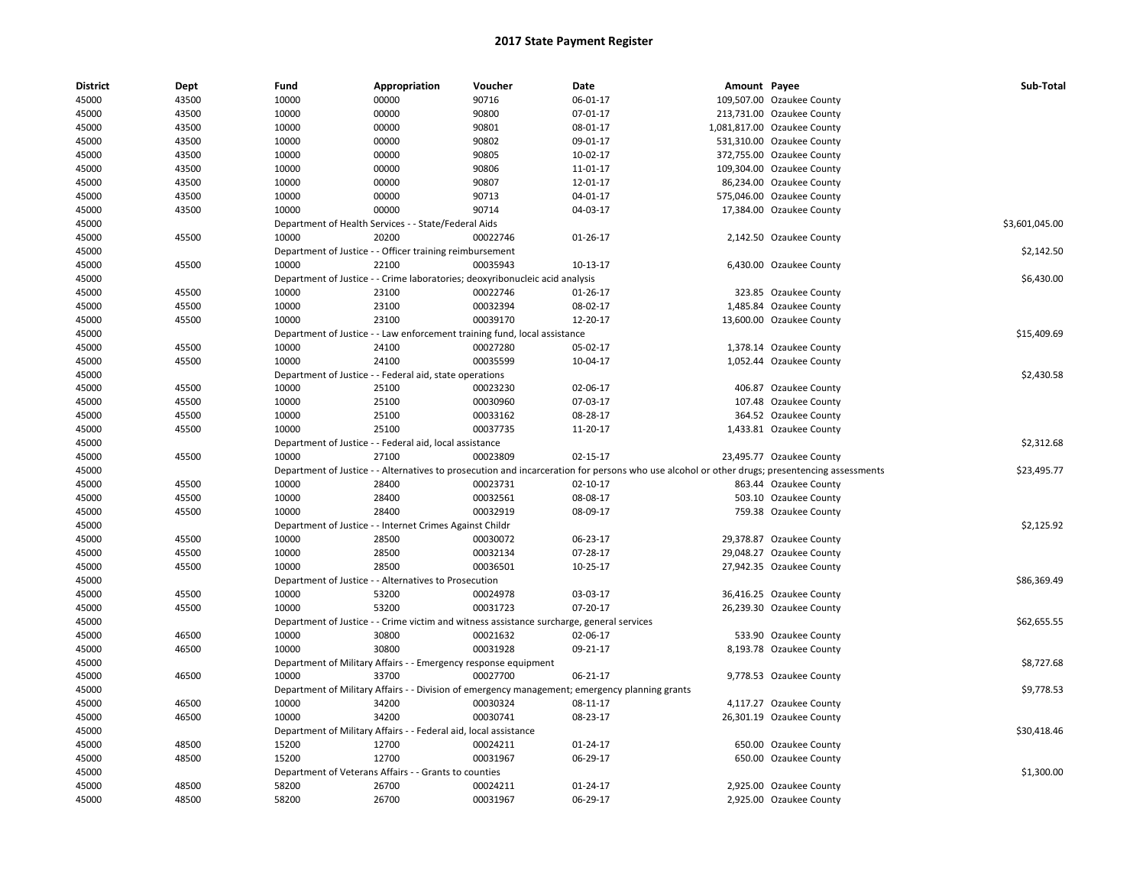| <b>District</b> | Dept  | Fund  | Appropriation                                                    | Voucher                                                                                   | Date                                                                                                                                          | Amount Payee |                             | Sub-Total      |
|-----------------|-------|-------|------------------------------------------------------------------|-------------------------------------------------------------------------------------------|-----------------------------------------------------------------------------------------------------------------------------------------------|--------------|-----------------------------|----------------|
| 45000           | 43500 | 10000 | 00000                                                            | 90716                                                                                     | 06-01-17                                                                                                                                      |              | 109,507.00 Ozaukee County   |                |
| 45000           | 43500 | 10000 | 00000                                                            | 90800                                                                                     | 07-01-17                                                                                                                                      |              | 213,731.00 Ozaukee County   |                |
| 45000           | 43500 | 10000 | 00000                                                            | 90801                                                                                     | 08-01-17                                                                                                                                      |              | 1,081,817.00 Ozaukee County |                |
| 45000           | 43500 | 10000 | 00000                                                            | 90802                                                                                     | 09-01-17                                                                                                                                      |              | 531,310.00 Ozaukee County   |                |
| 45000           | 43500 | 10000 | 00000                                                            | 90805                                                                                     | 10-02-17                                                                                                                                      |              | 372,755.00 Ozaukee County   |                |
| 45000           | 43500 | 10000 | 00000                                                            | 90806                                                                                     | 11-01-17                                                                                                                                      |              | 109,304.00 Ozaukee County   |                |
| 45000           | 43500 | 10000 | 00000                                                            | 90807                                                                                     | 12-01-17                                                                                                                                      |              | 86,234.00 Ozaukee County    |                |
| 45000           | 43500 | 10000 | 00000                                                            | 90713                                                                                     | 04-01-17                                                                                                                                      |              | 575,046.00 Ozaukee County   |                |
| 45000           | 43500 | 10000 | 00000                                                            | 90714                                                                                     | 04-03-17                                                                                                                                      |              | 17,384.00 Ozaukee County    |                |
| 45000           |       |       | Department of Health Services - - State/Federal Aids             |                                                                                           |                                                                                                                                               |              |                             | \$3,601,045.00 |
| 45000           | 45500 | 10000 | 20200                                                            | 00022746                                                                                  | 01-26-17                                                                                                                                      |              | 2,142.50 Ozaukee County     |                |
| 45000           |       |       | Department of Justice - - Officer training reimbursement         |                                                                                           |                                                                                                                                               |              |                             | \$2,142.50     |
| 45000           | 45500 | 10000 | 22100                                                            | 00035943                                                                                  | 10-13-17                                                                                                                                      |              | 6,430.00 Ozaukee County     |                |
| 45000           |       |       |                                                                  | Department of Justice - - Crime laboratories; deoxyribonucleic acid analysis              |                                                                                                                                               |              |                             | \$6,430.00     |
| 45000           | 45500 | 10000 | 23100                                                            | 00022746                                                                                  | 01-26-17                                                                                                                                      |              | 323.85 Ozaukee County       |                |
| 45000           | 45500 | 10000 | 23100                                                            | 00032394                                                                                  | 08-02-17                                                                                                                                      |              | 1,485.84 Ozaukee County     |                |
| 45000           | 45500 | 10000 | 23100                                                            | 00039170                                                                                  | 12-20-17                                                                                                                                      |              | 13,600.00 Ozaukee County    |                |
| 45000           |       |       |                                                                  | Department of Justice - - Law enforcement training fund, local assistance                 |                                                                                                                                               |              |                             | \$15,409.69    |
| 45000           | 45500 | 10000 | 24100                                                            | 00027280                                                                                  | 05-02-17                                                                                                                                      |              | 1,378.14 Ozaukee County     |                |
| 45000           | 45500 | 10000 | 24100                                                            | 00035599                                                                                  | 10-04-17                                                                                                                                      |              | 1,052.44 Ozaukee County     |                |
| 45000           |       |       | Department of Justice - - Federal aid, state operations          |                                                                                           |                                                                                                                                               |              |                             | \$2,430.58     |
| 45000           | 45500 | 10000 | 25100                                                            | 00023230                                                                                  | 02-06-17                                                                                                                                      |              | 406.87 Ozaukee County       |                |
| 45000           | 45500 | 10000 | 25100                                                            | 00030960                                                                                  | 07-03-17                                                                                                                                      |              | 107.48 Ozaukee County       |                |
| 45000           | 45500 | 10000 | 25100                                                            | 00033162                                                                                  | 08-28-17                                                                                                                                      |              | 364.52 Ozaukee County       |                |
| 45000           | 45500 | 10000 | 25100                                                            | 00037735                                                                                  | 11-20-17                                                                                                                                      |              | 1,433.81 Ozaukee County     |                |
| 45000           |       |       | Department of Justice - - Federal aid, local assistance          |                                                                                           |                                                                                                                                               |              |                             | \$2,312.68     |
| 45000           | 45500 | 10000 | 27100                                                            | 00023809                                                                                  | 02-15-17                                                                                                                                      |              | 23,495.77 Ozaukee County    |                |
| 45000           |       |       |                                                                  |                                                                                           | Department of Justice - - Alternatives to prosecution and incarceration for persons who use alcohol or other drugs; presentencing assessments |              |                             | \$23,495.77    |
| 45000           | 45500 | 10000 | 28400                                                            | 00023731                                                                                  | $02 - 10 - 17$                                                                                                                                |              | 863.44 Ozaukee County       |                |
| 45000           | 45500 | 10000 | 28400                                                            | 00032561                                                                                  | 08-08-17                                                                                                                                      |              | 503.10 Ozaukee County       |                |
| 45000           | 45500 | 10000 | 28400                                                            | 00032919                                                                                  | 08-09-17                                                                                                                                      |              | 759.38 Ozaukee County       |                |
| 45000           |       |       | Department of Justice - - Internet Crimes Against Childr         |                                                                                           |                                                                                                                                               |              |                             | \$2,125.92     |
| 45000           | 45500 | 10000 | 28500                                                            | 00030072                                                                                  | 06-23-17                                                                                                                                      |              | 29,378.87 Ozaukee County    |                |
| 45000           | 45500 | 10000 | 28500                                                            | 00032134                                                                                  | 07-28-17                                                                                                                                      |              | 29,048.27 Ozaukee County    |                |
| 45000           | 45500 | 10000 | 28500                                                            | 00036501                                                                                  | 10-25-17                                                                                                                                      |              | 27,942.35 Ozaukee County    |                |
| 45000           |       |       | Department of Justice - - Alternatives to Prosecution            |                                                                                           |                                                                                                                                               |              |                             | \$86,369.49    |
| 45000           | 45500 | 10000 | 53200                                                            | 00024978                                                                                  | 03-03-17                                                                                                                                      |              | 36,416.25 Ozaukee County    |                |
| 45000           | 45500 | 10000 | 53200                                                            | 00031723                                                                                  | 07-20-17                                                                                                                                      |              | 26,239.30 Ozaukee County    |                |
| 45000           |       |       |                                                                  | Department of Justice - - Crime victim and witness assistance surcharge, general services |                                                                                                                                               |              |                             | \$62,655.55    |
| 45000           | 46500 | 10000 | 30800                                                            | 00021632                                                                                  | 02-06-17                                                                                                                                      |              | 533.90 Ozaukee County       |                |
| 45000           | 46500 | 10000 | 30800                                                            | 00031928                                                                                  | 09-21-17                                                                                                                                      |              | 8,193.78 Ozaukee County     |                |
| 45000           |       |       | Department of Military Affairs - - Emergency response equipment  |                                                                                           |                                                                                                                                               |              |                             | \$8,727.68     |
| 45000           | 46500 | 10000 | 33700                                                            | 00027700                                                                                  | 06-21-17                                                                                                                                      |              | 9,778.53 Ozaukee County     |                |
| 45000           |       |       |                                                                  |                                                                                           | Department of Military Affairs - - Division of emergency management; emergency planning grants                                                |              |                             | \$9,778.53     |
| 45000           | 46500 | 10000 | 34200                                                            | 00030324                                                                                  | 08-11-17                                                                                                                                      |              | 4,117.27 Ozaukee County     |                |
| 45000           | 46500 | 10000 | 34200                                                            | 00030741                                                                                  | 08-23-17                                                                                                                                      |              | 26,301.19 Ozaukee County    |                |
| 45000           |       |       | Department of Military Affairs - - Federal aid, local assistance |                                                                                           |                                                                                                                                               |              |                             | \$30,418.46    |
| 45000           | 48500 | 15200 | 12700                                                            | 00024211                                                                                  | 01-24-17                                                                                                                                      |              | 650.00 Ozaukee County       |                |
| 45000           | 48500 | 15200 | 12700                                                            | 00031967                                                                                  | 06-29-17                                                                                                                                      |              | 650.00 Ozaukee County       |                |
| 45000           |       |       | Department of Veterans Affairs - - Grants to counties            |                                                                                           |                                                                                                                                               |              |                             | \$1,300.00     |
| 45000           | 48500 | 58200 | 26700                                                            | 00024211                                                                                  | 01-24-17                                                                                                                                      |              | 2,925.00 Ozaukee County     |                |
| 45000           | 48500 | 58200 | 26700                                                            | 00031967                                                                                  | 06-29-17                                                                                                                                      |              | 2,925.00 Ozaukee County     |                |
|                 |       |       |                                                                  |                                                                                           |                                                                                                                                               |              |                             |                |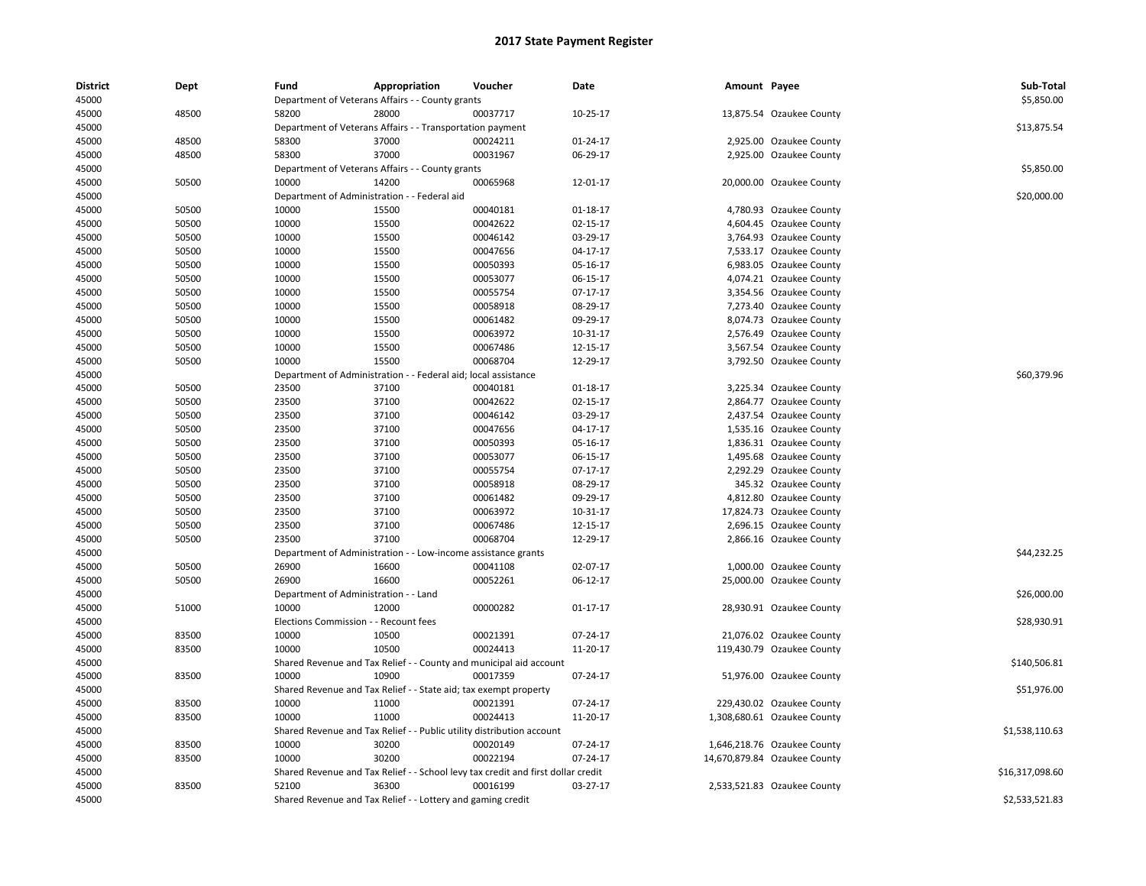| <b>District</b><br>45000 | Dept           | Fund                                  | Appropriation<br>Department of Veterans Affairs - - County grants     | Voucher                                                                          | Date                       | Amount Payee |                              | Sub-Total<br>\$5,850.00 |
|--------------------------|----------------|---------------------------------------|-----------------------------------------------------------------------|----------------------------------------------------------------------------------|----------------------------|--------------|------------------------------|-------------------------|
| 45000                    | 48500          | 58200                                 | 28000                                                                 | 00037717                                                                         | 10-25-17                   |              | 13,875.54 Ozaukee County     |                         |
| 45000                    |                |                                       | Department of Veterans Affairs - - Transportation payment             |                                                                                  |                            |              |                              | \$13,875.54             |
| 45000                    | 48500          | 58300                                 | 37000                                                                 | 00024211                                                                         | 01-24-17                   |              | 2,925.00 Ozaukee County      |                         |
| 45000                    | 48500          | 58300                                 | 37000                                                                 | 00031967                                                                         | 06-29-17                   |              | 2,925.00 Ozaukee County      |                         |
|                          |                |                                       |                                                                       |                                                                                  |                            |              |                              | \$5,850.00              |
| 45000                    | 50500          | 10000                                 | Department of Veterans Affairs - - County grants<br>14200             |                                                                                  |                            |              |                              |                         |
| 45000                    |                |                                       |                                                                       | 00065968                                                                         | 12-01-17                   |              | 20,000.00 Ozaukee County     | \$20,000.00             |
| 45000                    |                | 10000                                 | Department of Administration - - Federal aid                          |                                                                                  |                            |              |                              |                         |
| 45000                    | 50500<br>50500 | 10000                                 | 15500<br>15500                                                        | 00040181<br>00042622                                                             | 01-18-17<br>$02 - 15 - 17$ |              | 4,780.93 Ozaukee County      |                         |
| 45000                    |                |                                       |                                                                       |                                                                                  |                            |              | 4,604.45 Ozaukee County      |                         |
| 45000                    | 50500          | 10000                                 | 15500                                                                 | 00046142                                                                         | 03-29-17                   |              | 3,764.93 Ozaukee County      |                         |
| 45000                    | 50500          | 10000                                 | 15500                                                                 | 00047656                                                                         | 04-17-17                   |              | 7,533.17 Ozaukee County      |                         |
| 45000                    | 50500          | 10000                                 | 15500                                                                 | 00050393                                                                         | 05-16-17                   |              | 6,983.05 Ozaukee County      |                         |
| 45000                    | 50500          | 10000                                 | 15500                                                                 | 00053077                                                                         | 06-15-17                   |              | 4,074.21 Ozaukee County      |                         |
| 45000                    | 50500          | 10000                                 | 15500                                                                 | 00055754                                                                         | 07-17-17                   |              | 3,354.56 Ozaukee County      |                         |
| 45000                    | 50500          | 10000                                 | 15500                                                                 | 00058918                                                                         | 08-29-17                   |              | 7,273.40 Ozaukee County      |                         |
| 45000                    | 50500          | 10000                                 | 15500                                                                 | 00061482                                                                         | 09-29-17                   |              | 8,074.73 Ozaukee County      |                         |
| 45000                    | 50500          | 10000                                 | 15500                                                                 | 00063972                                                                         | 10-31-17                   |              | 2,576.49 Ozaukee County      |                         |
| 45000                    | 50500          | 10000                                 | 15500                                                                 | 00067486                                                                         | 12-15-17                   |              | 3,567.54 Ozaukee County      |                         |
| 45000                    | 50500          | 10000                                 | 15500                                                                 | 00068704                                                                         | 12-29-17                   |              | 3,792.50 Ozaukee County      |                         |
| 45000                    |                |                                       | Department of Administration - - Federal aid; local assistance        |                                                                                  |                            |              |                              | \$60,379.96             |
| 45000                    | 50500          | 23500                                 | 37100                                                                 | 00040181                                                                         | $01 - 18 - 17$             |              | 3,225.34 Ozaukee County      |                         |
| 45000                    | 50500          | 23500                                 | 37100                                                                 | 00042622                                                                         | 02-15-17                   |              | 2,864.77 Ozaukee County      |                         |
| 45000                    | 50500          | 23500                                 | 37100                                                                 | 00046142                                                                         | 03-29-17                   |              | 2,437.54 Ozaukee County      |                         |
| 45000                    | 50500          | 23500                                 | 37100                                                                 | 00047656                                                                         | 04-17-17                   |              | 1,535.16 Ozaukee County      |                         |
| 45000                    | 50500          | 23500                                 | 37100                                                                 | 00050393                                                                         | 05-16-17                   |              | 1,836.31 Ozaukee County      |                         |
| 45000                    | 50500          | 23500                                 | 37100                                                                 | 00053077                                                                         | 06-15-17                   |              | 1,495.68 Ozaukee County      |                         |
| 45000                    | 50500          | 23500                                 | 37100                                                                 | 00055754                                                                         | 07-17-17                   |              | 2,292.29 Ozaukee County      |                         |
| 45000                    | 50500          | 23500                                 | 37100                                                                 | 00058918                                                                         | 08-29-17                   |              | 345.32 Ozaukee County        |                         |
| 45000                    | 50500          | 23500                                 | 37100                                                                 | 00061482                                                                         | 09-29-17                   |              | 4,812.80 Ozaukee County      |                         |
| 45000                    | 50500          | 23500                                 | 37100                                                                 | 00063972                                                                         | 10-31-17                   |              | 17,824.73 Ozaukee County     |                         |
| 45000                    | 50500          | 23500                                 | 37100                                                                 | 00067486                                                                         | 12-15-17                   |              | 2,696.15 Ozaukee County      |                         |
| 45000                    | 50500          | 23500                                 | 37100                                                                 | 00068704                                                                         | 12-29-17                   |              | 2,866.16 Ozaukee County      |                         |
| 45000                    |                | Department of Administration          |                                                                       | - Low-income assistance grants                                                   |                            |              |                              | \$44,232.25             |
| 45000                    | 50500          | 26900                                 | 16600                                                                 | 00041108                                                                         | 02-07-17                   |              | 1,000.00 Ozaukee County      |                         |
| 45000                    | 50500          | 26900                                 | 16600                                                                 | 00052261                                                                         | 06-12-17                   |              | 25,000.00 Ozaukee County     |                         |
| 45000                    |                | Department of Administration - - Land |                                                                       |                                                                                  |                            |              |                              | \$26,000.00             |
| 45000                    | 51000          | 10000                                 | 12000                                                                 | 00000282                                                                         | $01 - 17 - 17$             |              | 28,930.91 Ozaukee County     |                         |
| 45000                    |                | Elections Commission - - Recount fees |                                                                       |                                                                                  |                            |              |                              | \$28,930.91             |
| 45000                    | 83500          | 10000                                 | 10500                                                                 | 00021391                                                                         | 07-24-17                   |              | 21,076.02 Ozaukee County     |                         |
| 45000                    | 83500          | 10000                                 | 10500                                                                 | 00024413                                                                         | 11-20-17                   |              | 119,430.79 Ozaukee County    |                         |
| 45000                    |                |                                       |                                                                       | Shared Revenue and Tax Relief - - County and municipal aid account               |                            |              |                              | \$140,506.81            |
| 45000                    | 83500          | 10000                                 | 10900                                                                 | 00017359                                                                         | 07-24-17                   |              | 51,976.00 Ozaukee County     |                         |
| 45000                    |                |                                       | Shared Revenue and Tax Relief - - State aid; tax exempt property      |                                                                                  |                            |              |                              | \$51,976.00             |
| 45000                    | 83500          | 10000                                 | 11000                                                                 | 00021391                                                                         | 07-24-17                   |              | 229,430.02 Ozaukee County    |                         |
| 45000                    | 83500          | 10000                                 | 11000                                                                 | 00024413                                                                         | 11-20-17                   |              | 1,308,680.61 Ozaukee County  |                         |
| 45000                    |                |                                       | Shared Revenue and Tax Relief - - Public utility distribution account |                                                                                  |                            |              |                              | \$1,538,110.63          |
| 45000                    | 83500          | 10000                                 | 30200                                                                 | 00020149                                                                         | 07-24-17                   |              | 1,646,218.76 Ozaukee County  |                         |
| 45000                    | 83500          | 10000                                 | 30200                                                                 | 00022194                                                                         | 07-24-17                   |              | 14,670,879.84 Ozaukee County |                         |
| 45000                    |                |                                       |                                                                       | Shared Revenue and Tax Relief - - School levy tax credit and first dollar credit |                            |              |                              | \$16,317,098.60         |
| 45000                    | 83500          | 52100                                 | 36300                                                                 | 00016199                                                                         | 03-27-17                   |              | 2,533,521.83 Ozaukee County  |                         |
| 45000                    |                |                                       | Shared Revenue and Tax Relief - - Lottery and gaming credit           |                                                                                  |                            |              |                              | \$2,533,521.83          |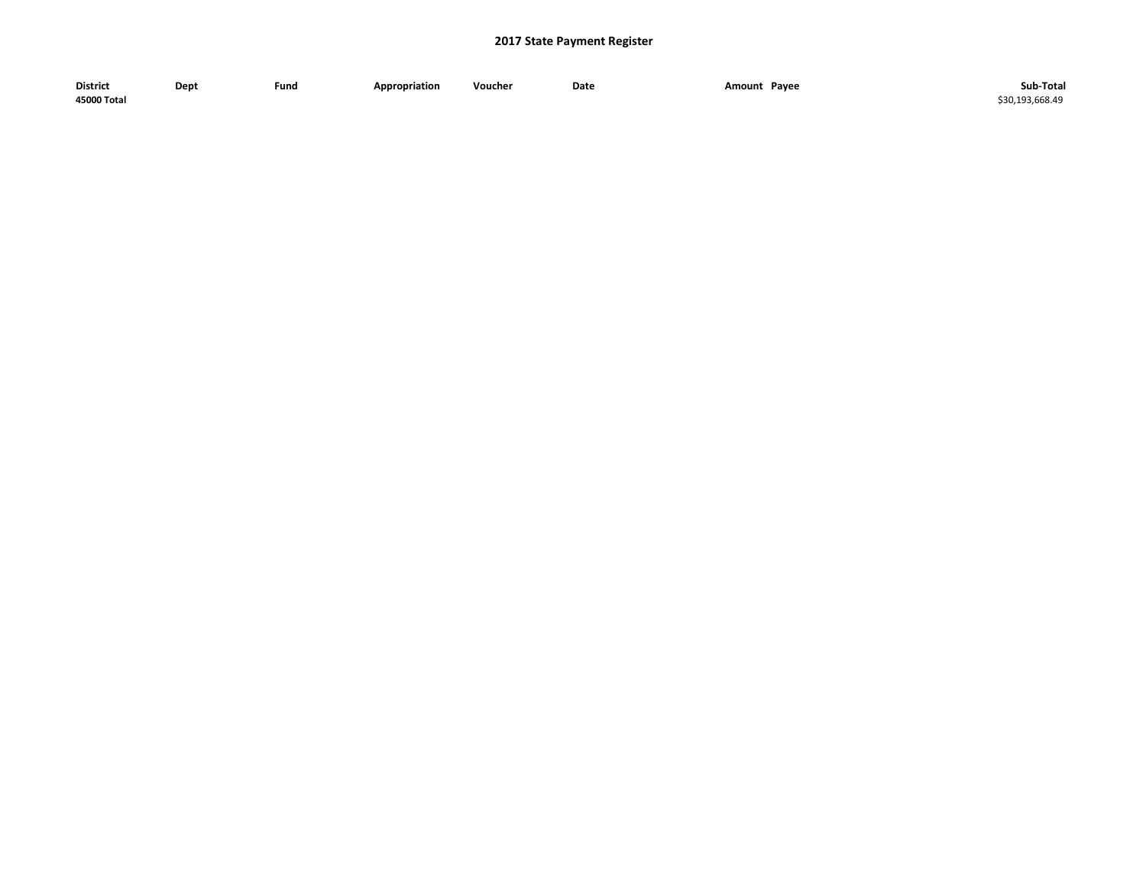| <b>District</b> | Dept | Fund | <b>Appropriation</b> | Voucher | Date | Pavee<br>Amount<br>$\sim$ $\sim$ $\sim$ | Sub-Total     |
|-----------------|------|------|----------------------|---------|------|-----------------------------------------|---------------|
| 45000 Total     |      |      |                      |         |      |                                         | 30.193.668.49 |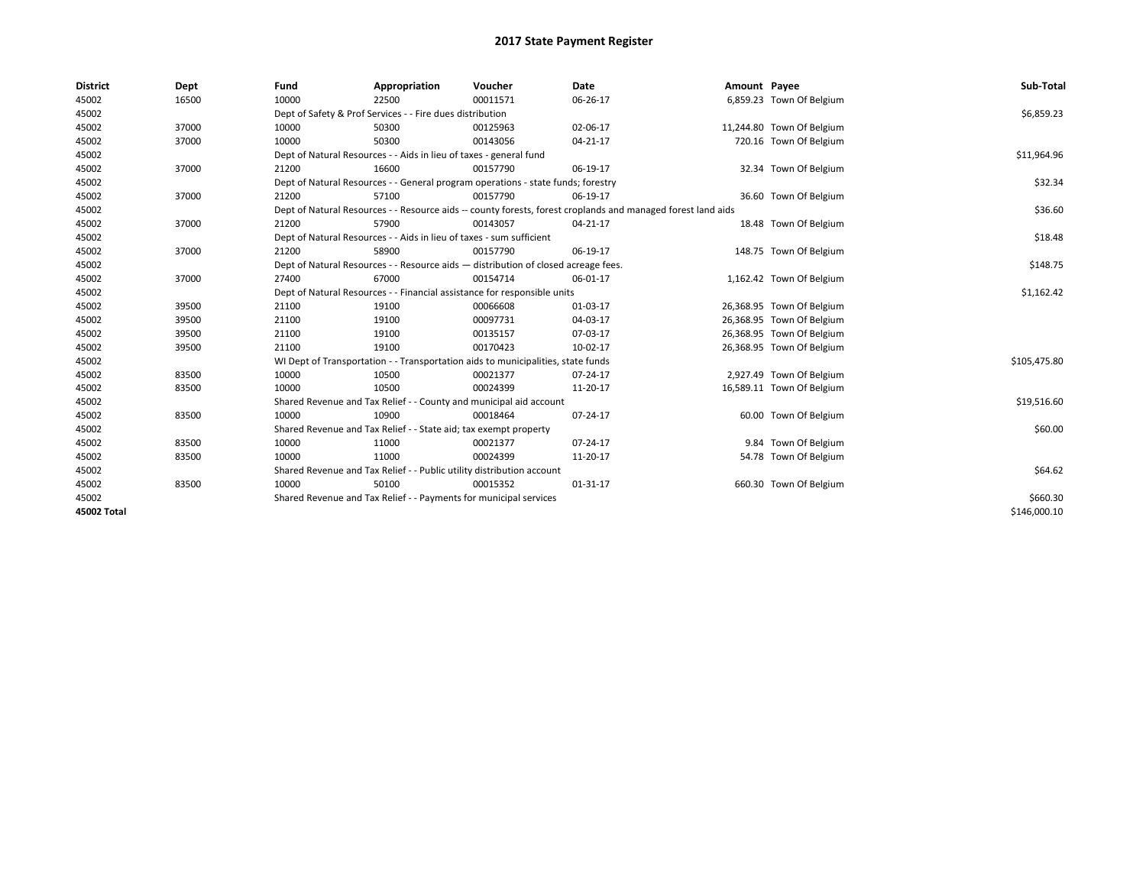| <b>District</b> | Dept  | Fund  | Appropriation                                                                      | Voucher  | Date                                                                                                         | Amount Payee |                           | Sub-Total    |
|-----------------|-------|-------|------------------------------------------------------------------------------------|----------|--------------------------------------------------------------------------------------------------------------|--------------|---------------------------|--------------|
| 45002           | 16500 | 10000 | 22500                                                                              | 00011571 | 06-26-17                                                                                                     |              | 6,859.23 Town Of Belgium  |              |
| 45002           |       |       | Dept of Safety & Prof Services - - Fire dues distribution                          |          |                                                                                                              |              |                           | \$6,859.23   |
| 45002           | 37000 | 10000 | 50300                                                                              | 00125963 | 02-06-17                                                                                                     |              | 11,244.80 Town Of Belgium |              |
| 45002           | 37000 | 10000 | 50300                                                                              | 00143056 | $04 - 21 - 17$                                                                                               |              | 720.16 Town Of Belgium    |              |
| 45002           |       |       | Dept of Natural Resources - - Aids in lieu of taxes - general fund                 |          |                                                                                                              |              |                           | \$11,964.96  |
| 45002           | 37000 | 21200 | 16600                                                                              | 00157790 | 06-19-17                                                                                                     |              | 32.34 Town Of Belgium     |              |
| 45002           |       |       | Dept of Natural Resources - - General program operations - state funds; forestry   |          |                                                                                                              |              |                           | \$32.34      |
| 45002           | 37000 | 21200 | 57100                                                                              | 00157790 | 06-19-17                                                                                                     |              | 36.60 Town Of Belgium     |              |
| 45002           |       |       |                                                                                    |          | Dept of Natural Resources - - Resource aids -- county forests, forest croplands and managed forest land aids |              |                           | \$36.60      |
| 45002           | 37000 | 21200 | 57900                                                                              | 00143057 | 04-21-17                                                                                                     |              | 18.48 Town Of Belgium     |              |
| 45002           |       |       | Dept of Natural Resources - - Aids in lieu of taxes - sum sufficient               |          |                                                                                                              |              |                           | \$18.48      |
| 45002           | 37000 | 21200 | 58900                                                                              | 00157790 | 06-19-17                                                                                                     |              | 148.75 Town Of Belgium    |              |
| 45002           |       |       | Dept of Natural Resources - - Resource aids - distribution of closed acreage fees. |          |                                                                                                              |              |                           | \$148.75     |
| 45002           | 37000 | 27400 | 67000                                                                              | 00154714 | 06-01-17                                                                                                     |              | 1,162.42 Town Of Belgium  |              |
| 45002           |       |       | Dept of Natural Resources - - Financial assistance for responsible units           |          |                                                                                                              |              |                           | \$1,162.42   |
| 45002           | 39500 | 21100 | 19100                                                                              | 00066608 | 01-03-17                                                                                                     |              | 26,368.95 Town Of Belgium |              |
| 45002           | 39500 | 21100 | 19100                                                                              | 00097731 | 04-03-17                                                                                                     |              | 26,368.95 Town Of Belgium |              |
| 45002           | 39500 | 21100 | 19100                                                                              | 00135157 | 07-03-17                                                                                                     |              | 26,368.95 Town Of Belgium |              |
| 45002           | 39500 | 21100 | 19100                                                                              | 00170423 | 10-02-17                                                                                                     |              | 26,368.95 Town Of Belgium |              |
| 45002           |       |       | WI Dept of Transportation - - Transportation aids to municipalities, state funds   |          |                                                                                                              |              |                           | \$105,475.80 |
| 45002           | 83500 | 10000 | 10500                                                                              | 00021377 | 07-24-17                                                                                                     |              | 2,927.49 Town Of Belgium  |              |
| 45002           | 83500 | 10000 | 10500                                                                              | 00024399 | 11-20-17                                                                                                     |              | 16,589.11 Town Of Belgium |              |
| 45002           |       |       | Shared Revenue and Tax Relief - - County and municipal aid account                 |          |                                                                                                              |              |                           | \$19,516.60  |
| 45002           | 83500 | 10000 | 10900                                                                              | 00018464 | 07-24-17                                                                                                     |              | 60.00 Town Of Belgium     |              |
| 45002           |       |       | Shared Revenue and Tax Relief - - State aid; tax exempt property                   |          |                                                                                                              |              |                           | \$60.00      |
| 45002           | 83500 | 10000 | 11000                                                                              | 00021377 | 07-24-17                                                                                                     |              | 9.84 Town Of Belgium      |              |
| 45002           | 83500 | 10000 | 11000                                                                              | 00024399 | 11-20-17                                                                                                     |              | 54.78 Town Of Belgium     |              |
| 45002           |       |       | Shared Revenue and Tax Relief - - Public utility distribution account              |          |                                                                                                              |              |                           | \$64.62      |
| 45002           | 83500 | 10000 | 50100                                                                              | 00015352 | 01-31-17                                                                                                     |              | 660.30 Town Of Belgium    |              |
| 45002           |       |       | Shared Revenue and Tax Relief - - Payments for municipal services                  |          |                                                                                                              |              |                           | \$660.30     |
| 45002 Total     |       |       |                                                                                    |          |                                                                                                              |              |                           | \$146,000.10 |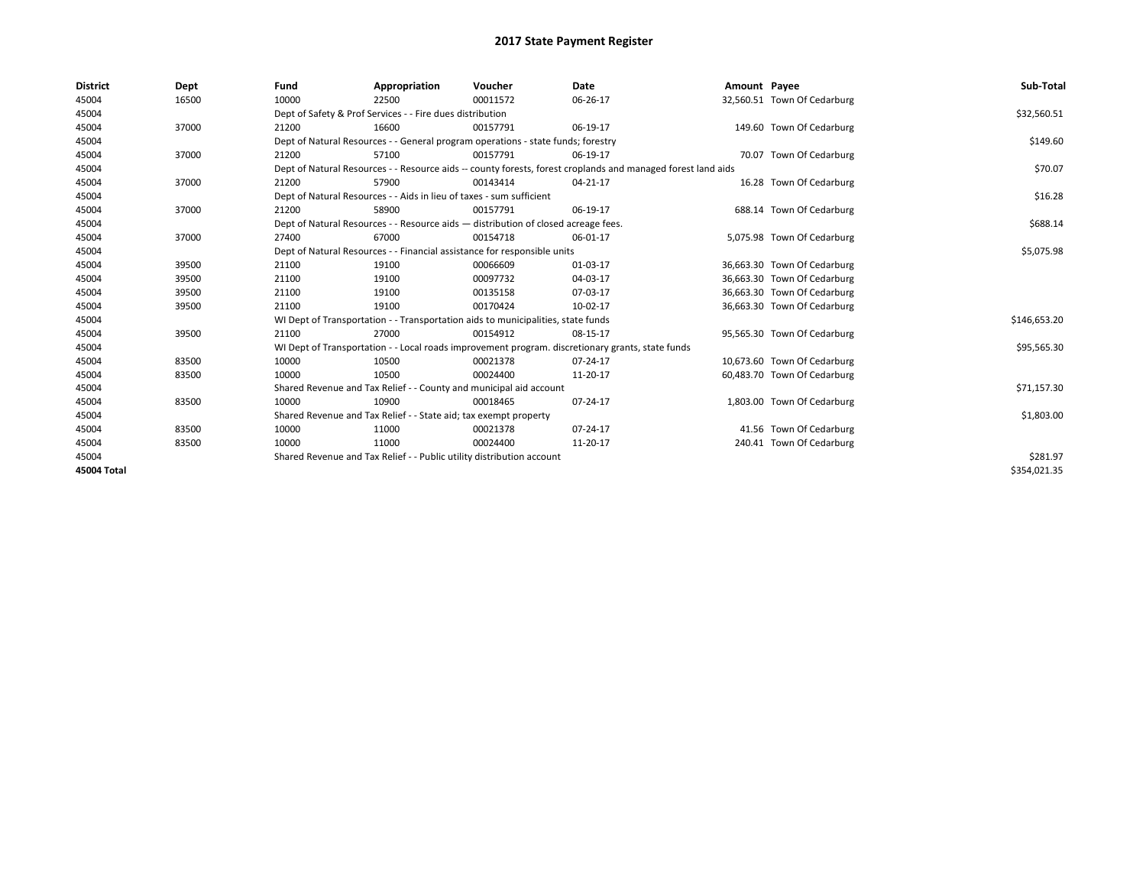| <b>District</b>    | Dept  | Fund  | Appropriation                                                                                                | Voucher  | Date     | Amount Payee |                             | Sub-Total    |
|--------------------|-------|-------|--------------------------------------------------------------------------------------------------------------|----------|----------|--------------|-----------------------------|--------------|
| 45004              | 16500 | 10000 | 22500                                                                                                        | 00011572 | 06-26-17 |              | 32,560.51 Town Of Cedarburg |              |
| 45004              |       |       | Dept of Safety & Prof Services - - Fire dues distribution                                                    |          |          |              |                             | \$32,560.51  |
| 45004              | 37000 | 21200 | 16600                                                                                                        | 00157791 | 06-19-17 |              | 149.60 Town Of Cedarburg    |              |
| 45004              |       |       | Dept of Natural Resources - - General program operations - state funds; forestry                             |          |          |              |                             | \$149.60     |
| 45004              | 37000 | 21200 | 57100                                                                                                        | 00157791 | 06-19-17 |              | 70.07 Town Of Cedarburg     |              |
| 45004              |       |       | Dept of Natural Resources - - Resource aids -- county forests, forest croplands and managed forest land aids |          |          |              |                             | \$70.07      |
| 45004              | 37000 | 21200 | 57900                                                                                                        | 00143414 | 04-21-17 |              | 16.28 Town Of Cedarburg     |              |
| 45004              |       |       | Dept of Natural Resources - - Aids in lieu of taxes - sum sufficient                                         |          |          |              |                             | \$16.28      |
| 45004              | 37000 | 21200 | 58900                                                                                                        | 00157791 | 06-19-17 |              | 688.14 Town Of Cedarburg    |              |
| 45004              |       |       | Dept of Natural Resources - - Resource aids - distribution of closed acreage fees.                           |          |          |              |                             | \$688.14     |
| 45004              | 37000 | 27400 | 67000                                                                                                        | 00154718 | 06-01-17 |              | 5,075.98 Town Of Cedarburg  |              |
| 45004              |       |       | Dept of Natural Resources - - Financial assistance for responsible units                                     |          |          |              |                             | \$5,075.98   |
| 45004              | 39500 | 21100 | 19100                                                                                                        | 00066609 | 01-03-17 |              | 36,663.30 Town Of Cedarburg |              |
| 45004              | 39500 | 21100 | 19100                                                                                                        | 00097732 | 04-03-17 |              | 36,663.30 Town Of Cedarburg |              |
| 45004              | 39500 | 21100 | 19100                                                                                                        | 00135158 | 07-03-17 |              | 36,663.30 Town Of Cedarburg |              |
| 45004              | 39500 | 21100 | 19100                                                                                                        | 00170424 | 10-02-17 |              | 36,663.30 Town Of Cedarburg |              |
| 45004              |       |       | WI Dept of Transportation - - Transportation aids to municipalities, state funds                             |          |          |              |                             | \$146,653.20 |
| 45004              | 39500 | 21100 | 27000                                                                                                        | 00154912 | 08-15-17 |              | 95,565.30 Town Of Cedarburg |              |
| 45004              |       |       | WI Dept of Transportation - - Local roads improvement program. discretionary grants, state funds             |          |          |              |                             | \$95,565.30  |
| 45004              | 83500 | 10000 | 10500                                                                                                        | 00021378 | 07-24-17 |              | 10,673.60 Town Of Cedarburg |              |
| 45004              | 83500 | 10000 | 10500                                                                                                        | 00024400 | 11-20-17 |              | 60,483.70 Town Of Cedarburg |              |
| 45004              |       |       | Shared Revenue and Tax Relief - - County and municipal aid account                                           |          |          |              |                             | \$71,157.30  |
| 45004              | 83500 | 10000 | 10900                                                                                                        | 00018465 | 07-24-17 |              | 1,803.00 Town Of Cedarburg  |              |
| 45004              |       |       | Shared Revenue and Tax Relief - - State aid; tax exempt property                                             |          |          |              |                             | \$1,803.00   |
| 45004              | 83500 | 10000 | 11000                                                                                                        | 00021378 | 07-24-17 |              | 41.56 Town Of Cedarburg     |              |
| 45004              | 83500 | 10000 | 11000                                                                                                        | 00024400 | 11-20-17 |              | 240.41 Town Of Cedarburg    |              |
| 45004              |       |       | Shared Revenue and Tax Relief - - Public utility distribution account                                        |          |          |              |                             | \$281.97     |
| <b>45004 Total</b> |       |       |                                                                                                              |          |          |              |                             | \$354,021.35 |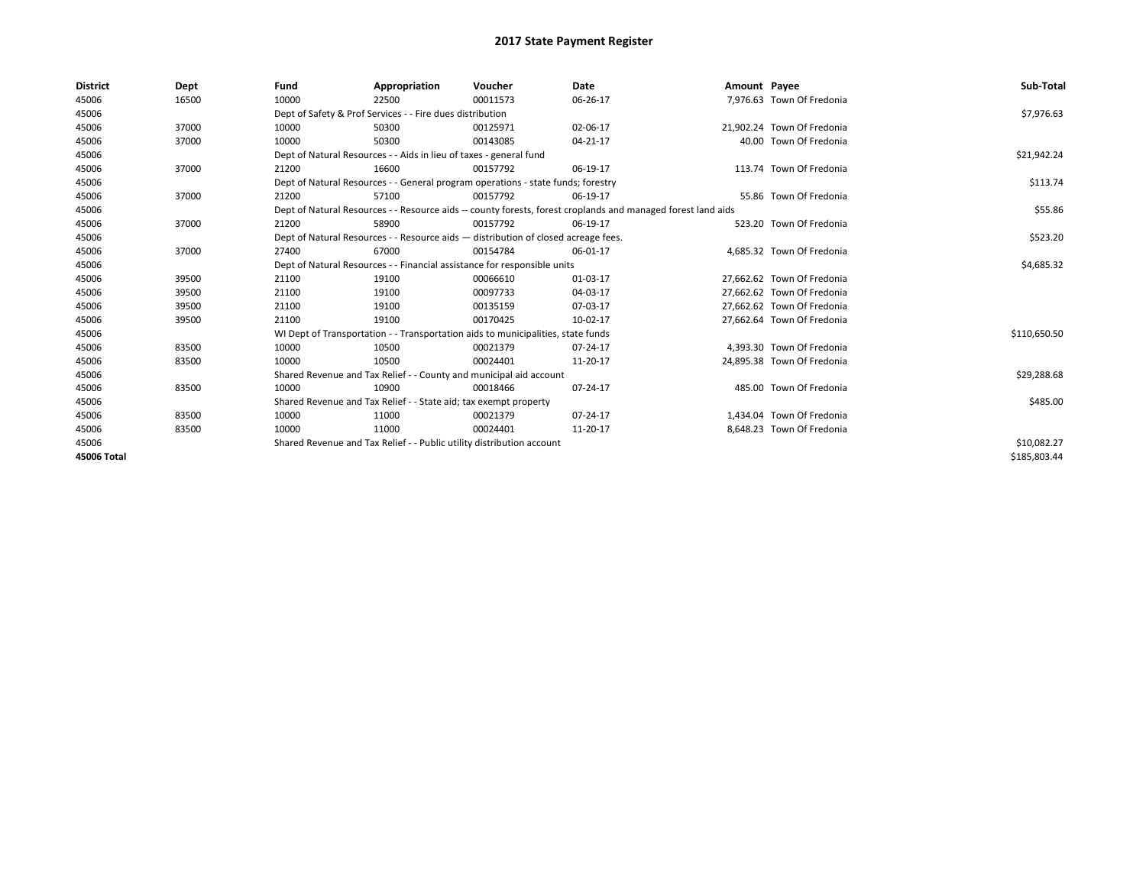| <b>District</b> | Dept  | Fund  | Appropriation                                                                      | Voucher  | Date                                                                                                         | Amount Payee |                            | Sub-Total    |  |  |
|-----------------|-------|-------|------------------------------------------------------------------------------------|----------|--------------------------------------------------------------------------------------------------------------|--------------|----------------------------|--------------|--|--|
| 45006           | 16500 | 10000 | 22500                                                                              | 00011573 | 06-26-17                                                                                                     |              | 7,976.63 Town Of Fredonia  |              |  |  |
| 45006           |       |       | Dept of Safety & Prof Services - - Fire dues distribution                          |          |                                                                                                              |              |                            | \$7,976.63   |  |  |
| 45006           | 37000 | 10000 | 50300                                                                              | 00125971 | 02-06-17                                                                                                     |              | 21.902.24 Town Of Fredonia |              |  |  |
| 45006           | 37000 | 10000 | 50300                                                                              | 00143085 | 04-21-17                                                                                                     |              | 40.00 Town Of Fredonia     |              |  |  |
| 45006           |       |       | Dept of Natural Resources - - Aids in lieu of taxes - general fund                 |          |                                                                                                              |              |                            | \$21,942.24  |  |  |
| 45006           | 37000 | 21200 | 16600                                                                              | 00157792 | 06-19-17                                                                                                     |              | 113.74 Town Of Fredonia    |              |  |  |
| 45006           |       |       | Dept of Natural Resources - - General program operations - state funds; forestry   |          | \$113.74                                                                                                     |              |                            |              |  |  |
| 45006           | 37000 | 21200 | 57100                                                                              | 00157792 | 06-19-17                                                                                                     |              | 55.86 Town Of Fredonia     |              |  |  |
| 45006           |       |       |                                                                                    |          | Dept of Natural Resources - - Resource aids -- county forests, forest croplands and managed forest land aids |              |                            | \$55.86      |  |  |
| 45006           | 37000 | 21200 | 58900                                                                              | 00157792 | 06-19-17                                                                                                     |              | 523.20 Town Of Fredonia    |              |  |  |
| 45006           |       |       | Dept of Natural Resources - - Resource aids - distribution of closed acreage fees. |          |                                                                                                              |              |                            | \$523.20     |  |  |
| 45006           | 37000 | 27400 | 67000                                                                              | 00154784 | 06-01-17                                                                                                     |              | 4,685.32 Town Of Fredonia  |              |  |  |
| 45006           |       |       | Dept of Natural Resources - - Financial assistance for responsible units           |          |                                                                                                              |              |                            |              |  |  |
| 45006           | 39500 | 21100 | 19100                                                                              | 00066610 | 01-03-17                                                                                                     |              | 27,662.62 Town Of Fredonia |              |  |  |
| 45006           | 39500 | 21100 | 19100                                                                              | 00097733 | 04-03-17                                                                                                     |              | 27,662.62 Town Of Fredonia |              |  |  |
| 45006           | 39500 | 21100 | 19100                                                                              | 00135159 | 07-03-17                                                                                                     |              | 27,662.62 Town Of Fredonia |              |  |  |
| 45006           | 39500 | 21100 | 19100                                                                              | 00170425 | 10-02-17                                                                                                     |              | 27,662.64 Town Of Fredonia |              |  |  |
| 45006           |       |       | WI Dept of Transportation - - Transportation aids to municipalities, state funds   |          |                                                                                                              |              |                            | \$110,650.50 |  |  |
| 45006           | 83500 | 10000 | 10500                                                                              | 00021379 | 07-24-17                                                                                                     |              | 4,393.30 Town Of Fredonia  |              |  |  |
| 45006           | 83500 | 10000 | 10500                                                                              | 00024401 | 11-20-17                                                                                                     |              | 24,895.38 Town Of Fredonia |              |  |  |
| 45006           |       |       | Shared Revenue and Tax Relief - - County and municipal aid account                 |          |                                                                                                              |              |                            | \$29,288.68  |  |  |
| 45006           | 83500 | 10000 | 10900                                                                              | 00018466 | 07-24-17                                                                                                     |              | 485.00 Town Of Fredonia    |              |  |  |
| 45006           |       |       | Shared Revenue and Tax Relief - - State aid; tax exempt property                   |          |                                                                                                              |              |                            | \$485.00     |  |  |
| 45006           | 83500 | 10000 | 11000                                                                              | 00021379 | 07-24-17                                                                                                     |              | 1.434.04 Town Of Fredonia  |              |  |  |
| 45006           | 83500 | 10000 | 11000                                                                              | 00024401 | 11-20-17                                                                                                     |              | 8,648.23 Town Of Fredonia  |              |  |  |
| 45006           |       |       | Shared Revenue and Tax Relief - - Public utility distribution account              |          |                                                                                                              |              |                            | \$10,082.27  |  |  |
| 45006 Total     |       |       |                                                                                    |          |                                                                                                              |              |                            | \$185,803.44 |  |  |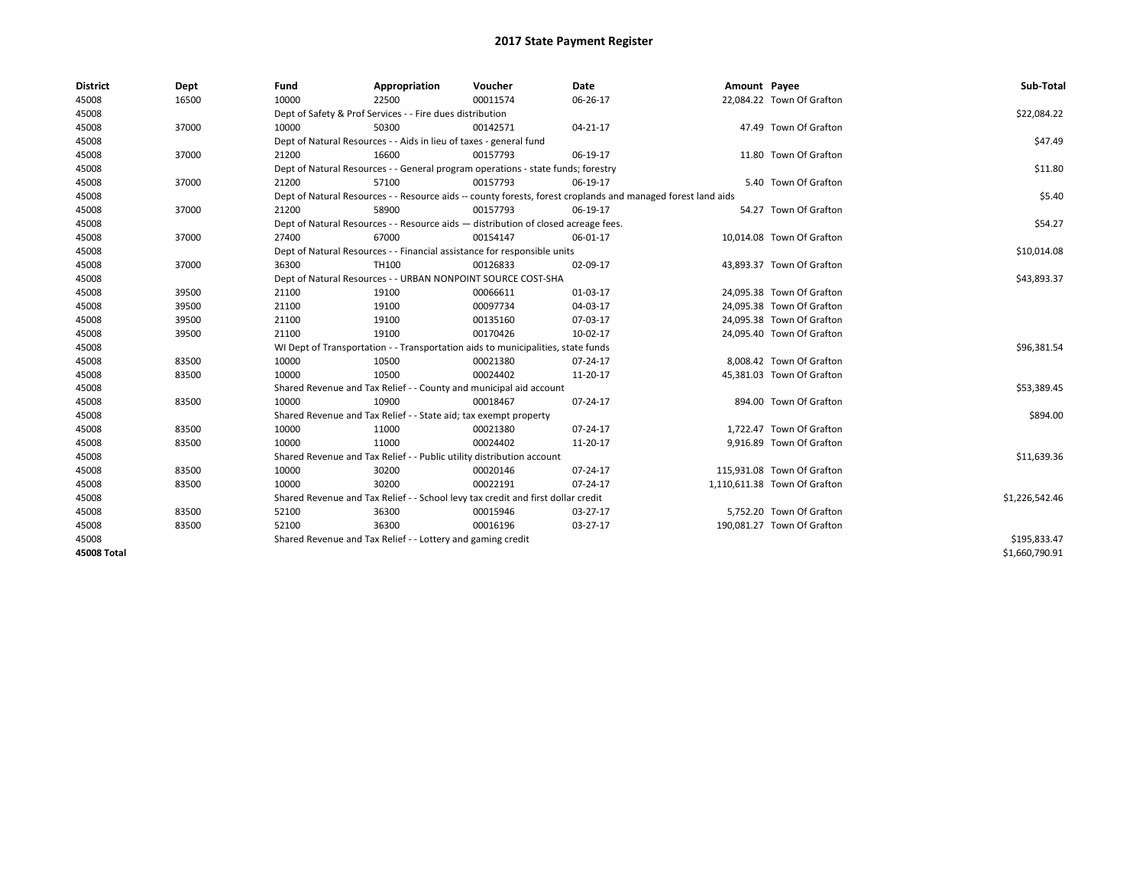| <b>District</b> | Dept  | Fund  | Appropriation                                                                      | Voucher  | Date                                                                                                         | Amount Payee |                              | Sub-Total      |
|-----------------|-------|-------|------------------------------------------------------------------------------------|----------|--------------------------------------------------------------------------------------------------------------|--------------|------------------------------|----------------|
| 45008           | 16500 | 10000 | 22500                                                                              | 00011574 | 06-26-17                                                                                                     |              | 22,084.22 Town Of Grafton    |                |
| 45008           |       |       | Dept of Safety & Prof Services - - Fire dues distribution                          |          |                                                                                                              |              |                              | \$22,084.22    |
| 45008           | 37000 | 10000 | 50300                                                                              | 00142571 | 04-21-17                                                                                                     |              | 47.49 Town Of Grafton        |                |
| 45008           |       |       | Dept of Natural Resources - - Aids in lieu of taxes - general fund                 |          |                                                                                                              |              |                              | \$47.49        |
| 45008           | 37000 | 21200 | 16600                                                                              | 00157793 | 06-19-17                                                                                                     |              | 11.80 Town Of Grafton        |                |
| 45008           |       |       | Dept of Natural Resources - - General program operations - state funds; forestry   |          |                                                                                                              |              |                              | \$11.80        |
| 45008           | 37000 | 21200 | 57100                                                                              | 00157793 | 06-19-17                                                                                                     |              | 5.40 Town Of Grafton         |                |
| 45008           |       |       |                                                                                    |          | Dept of Natural Resources - - Resource aids -- county forests, forest croplands and managed forest land aids |              |                              | \$5.40         |
| 45008           | 37000 | 21200 | 58900                                                                              | 00157793 | 06-19-17                                                                                                     |              | 54.27 Town Of Grafton        |                |
| 45008           |       |       | Dept of Natural Resources - - Resource aids - distribution of closed acreage fees. |          |                                                                                                              |              |                              | \$54.27        |
| 45008           | 37000 | 27400 | 67000                                                                              | 00154147 | 06-01-17                                                                                                     |              | 10,014.08 Town Of Grafton    |                |
| 45008           |       |       | Dept of Natural Resources - - Financial assistance for responsible units           |          |                                                                                                              |              |                              | \$10,014.08    |
| 45008           | 37000 | 36300 | TH100                                                                              | 00126833 | 02-09-17                                                                                                     |              | 43,893.37 Town Of Grafton    |                |
| 45008           |       |       | Dept of Natural Resources - - URBAN NONPOINT SOURCE COST-SHA                       |          |                                                                                                              |              |                              | \$43,893.37    |
| 45008           | 39500 | 21100 | 19100                                                                              | 00066611 | 01-03-17                                                                                                     |              | 24,095.38 Town Of Grafton    |                |
| 45008           | 39500 | 21100 | 19100                                                                              | 00097734 | 04-03-17                                                                                                     |              | 24.095.38 Town Of Grafton    |                |
| 45008           | 39500 | 21100 | 19100                                                                              | 00135160 | 07-03-17                                                                                                     |              | 24,095.38 Town Of Grafton    |                |
| 45008           | 39500 | 21100 | 19100                                                                              | 00170426 | 10-02-17                                                                                                     |              | 24,095.40 Town Of Grafton    |                |
| 45008           |       |       | WI Dept of Transportation - - Transportation aids to municipalities, state funds   |          |                                                                                                              |              |                              | \$96,381.54    |
| 45008           | 83500 | 10000 | 10500                                                                              | 00021380 | 07-24-17                                                                                                     |              | 8,008.42 Town Of Grafton     |                |
| 45008           | 83500 | 10000 | 10500                                                                              | 00024402 | 11-20-17                                                                                                     |              | 45.381.03 Town Of Grafton    |                |
| 45008           |       |       | Shared Revenue and Tax Relief - - County and municipal aid account                 |          |                                                                                                              |              |                              | \$53,389.45    |
| 45008           | 83500 | 10000 | 10900                                                                              | 00018467 | 07-24-17                                                                                                     |              | 894.00 Town Of Grafton       |                |
| 45008           |       |       | Shared Revenue and Tax Relief - - State aid; tax exempt property                   |          |                                                                                                              |              |                              | \$894.00       |
| 45008           | 83500 | 10000 | 11000                                                                              | 00021380 | 07-24-17                                                                                                     |              | 1,722.47 Town Of Grafton     |                |
| 45008           | 83500 | 10000 | 11000                                                                              | 00024402 | 11-20-17                                                                                                     |              | 9,916.89 Town Of Grafton     |                |
| 45008           |       |       | Shared Revenue and Tax Relief - - Public utility distribution account              |          |                                                                                                              |              |                              | \$11,639.36    |
| 45008           | 83500 | 10000 | 30200                                                                              | 00020146 | 07-24-17                                                                                                     |              | 115,931.08 Town Of Grafton   |                |
| 45008           | 83500 | 10000 | 30200                                                                              | 00022191 | 07-24-17                                                                                                     |              | 1,110,611.38 Town Of Grafton |                |
| 45008           |       |       | Shared Revenue and Tax Relief - - School levy tax credit and first dollar credit   |          |                                                                                                              |              |                              | \$1,226,542.46 |
| 45008           | 83500 | 52100 | 36300                                                                              | 00015946 | $03-27-17$                                                                                                   |              | 5.752.20 Town Of Grafton     |                |
| 45008           | 83500 | 52100 | 36300                                                                              | 00016196 | 03-27-17                                                                                                     |              | 190,081.27 Town Of Grafton   |                |
| 45008           |       |       | Shared Revenue and Tax Relief - - Lottery and gaming credit                        |          |                                                                                                              |              |                              | \$195,833.47   |
| 45008 Total     |       |       |                                                                                    |          |                                                                                                              |              |                              | \$1,660,790.91 |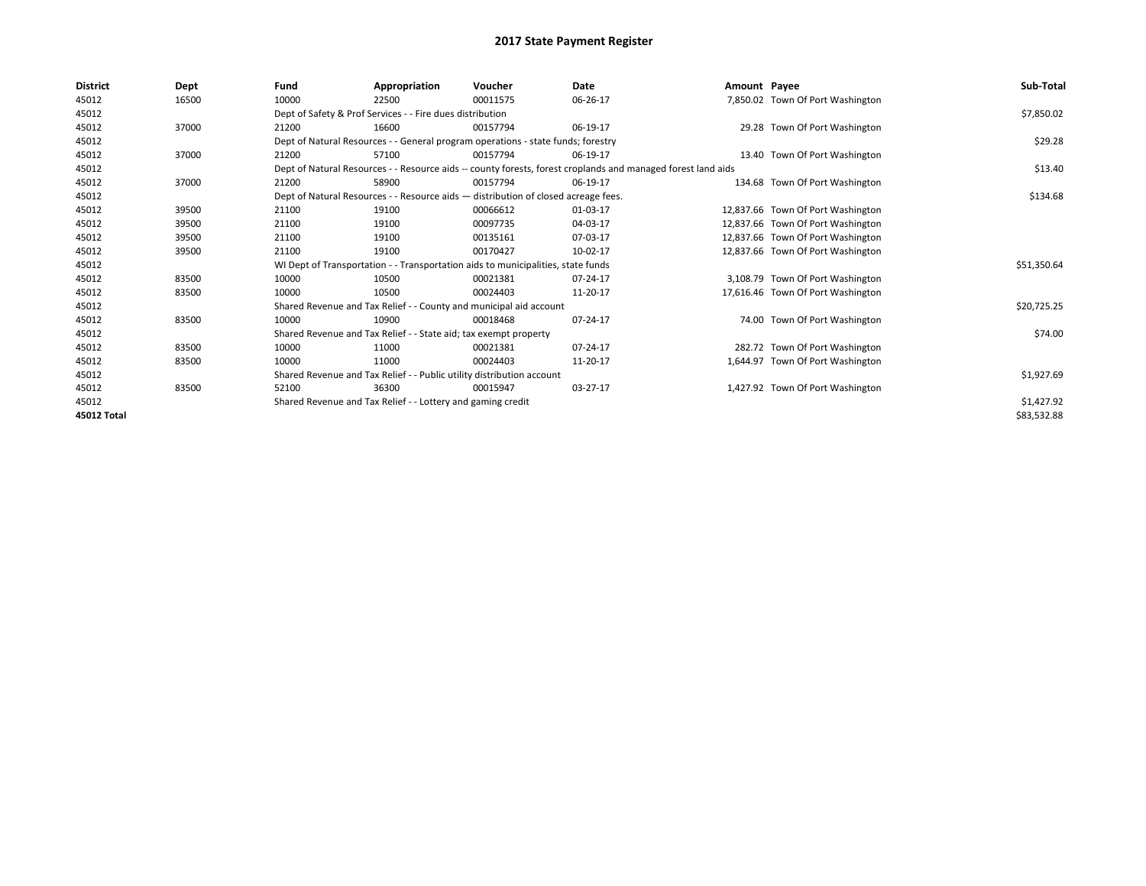| District    | Dept  | Fund  | Appropriation                                                         | Voucher                                                                            | <b>Date</b>                                                                                                  | Amount Payee |                                   | Sub-Total   |
|-------------|-------|-------|-----------------------------------------------------------------------|------------------------------------------------------------------------------------|--------------------------------------------------------------------------------------------------------------|--------------|-----------------------------------|-------------|
| 45012       | 16500 | 10000 | 22500                                                                 | 00011575                                                                           | 06-26-17                                                                                                     |              | 7,850.02 Town Of Port Washington  |             |
| 45012       |       |       | Dept of Safety & Prof Services - - Fire dues distribution             |                                                                                    |                                                                                                              |              |                                   | \$7,850.02  |
| 45012       | 37000 | 21200 | 16600                                                                 | 00157794                                                                           | 06-19-17                                                                                                     |              | 29.28 Town Of Port Washington     |             |
| 45012       |       |       |                                                                       | Dept of Natural Resources - - General program operations - state funds; forestry   |                                                                                                              |              |                                   | \$29.28     |
| 45012       | 37000 | 21200 | 57100                                                                 | 00157794                                                                           | 06-19-17                                                                                                     |              | 13.40 Town Of Port Washington     |             |
| 45012       |       |       |                                                                       |                                                                                    | Dept of Natural Resources - - Resource aids -- county forests, forest croplands and managed forest land aids |              |                                   | \$13.40     |
| 45012       | 37000 | 21200 | 58900                                                                 | 00157794                                                                           | 06-19-17                                                                                                     |              | 134.68 Town Of Port Washington    |             |
| 45012       |       |       |                                                                       | Dept of Natural Resources - - Resource aids - distribution of closed acreage fees. |                                                                                                              |              |                                   | \$134.68    |
| 45012       | 39500 | 21100 | 19100                                                                 | 00066612                                                                           | 01-03-17                                                                                                     |              | 12,837.66 Town Of Port Washington |             |
| 45012       | 39500 | 21100 | 19100                                                                 | 00097735                                                                           | 04-03-17                                                                                                     |              | 12,837.66 Town Of Port Washington |             |
| 45012       | 39500 | 21100 | 19100                                                                 | 00135161                                                                           | 07-03-17                                                                                                     |              | 12,837.66 Town Of Port Washington |             |
| 45012       | 39500 | 21100 | 19100                                                                 | 00170427                                                                           | 10-02-17                                                                                                     |              | 12,837.66 Town Of Port Washington |             |
| 45012       |       |       |                                                                       | WI Dept of Transportation - - Transportation aids to municipalities, state funds   |                                                                                                              |              |                                   | \$51,350.64 |
| 45012       | 83500 | 10000 | 10500                                                                 | 00021381                                                                           | 07-24-17                                                                                                     |              | 3,108.79 Town Of Port Washington  |             |
| 45012       | 83500 | 10000 | 10500                                                                 | 00024403                                                                           | 11-20-17                                                                                                     |              | 17,616.46 Town Of Port Washington |             |
| 45012       |       |       |                                                                       | Shared Revenue and Tax Relief - - County and municipal aid account                 |                                                                                                              |              |                                   | \$20,725.25 |
| 45012       | 83500 | 10000 | 10900                                                                 | 00018468                                                                           | 07-24-17                                                                                                     |              | 74.00 Town Of Port Washington     |             |
| 45012       |       |       | Shared Revenue and Tax Relief - - State aid; tax exempt property      |                                                                                    |                                                                                                              |              |                                   | \$74.00     |
| 45012       | 83500 | 10000 | 11000                                                                 | 00021381                                                                           | 07-24-17                                                                                                     |              | 282.72 Town Of Port Washington    |             |
| 45012       | 83500 | 10000 | 11000                                                                 | 00024403                                                                           | 11-20-17                                                                                                     |              | 1,644.97 Town Of Port Washington  |             |
| 45012       |       |       | Shared Revenue and Tax Relief - - Public utility distribution account |                                                                                    |                                                                                                              |              |                                   | \$1,927.69  |
| 45012       | 83500 | 52100 | 36300                                                                 | 00015947                                                                           | 03-27-17                                                                                                     |              | 1,427.92 Town Of Port Washington  |             |
| 45012       |       |       | Shared Revenue and Tax Relief - - Lottery and gaming credit           |                                                                                    |                                                                                                              |              |                                   | \$1,427.92  |
| 45012 Total |       |       |                                                                       |                                                                                    |                                                                                                              |              |                                   | \$83,532.88 |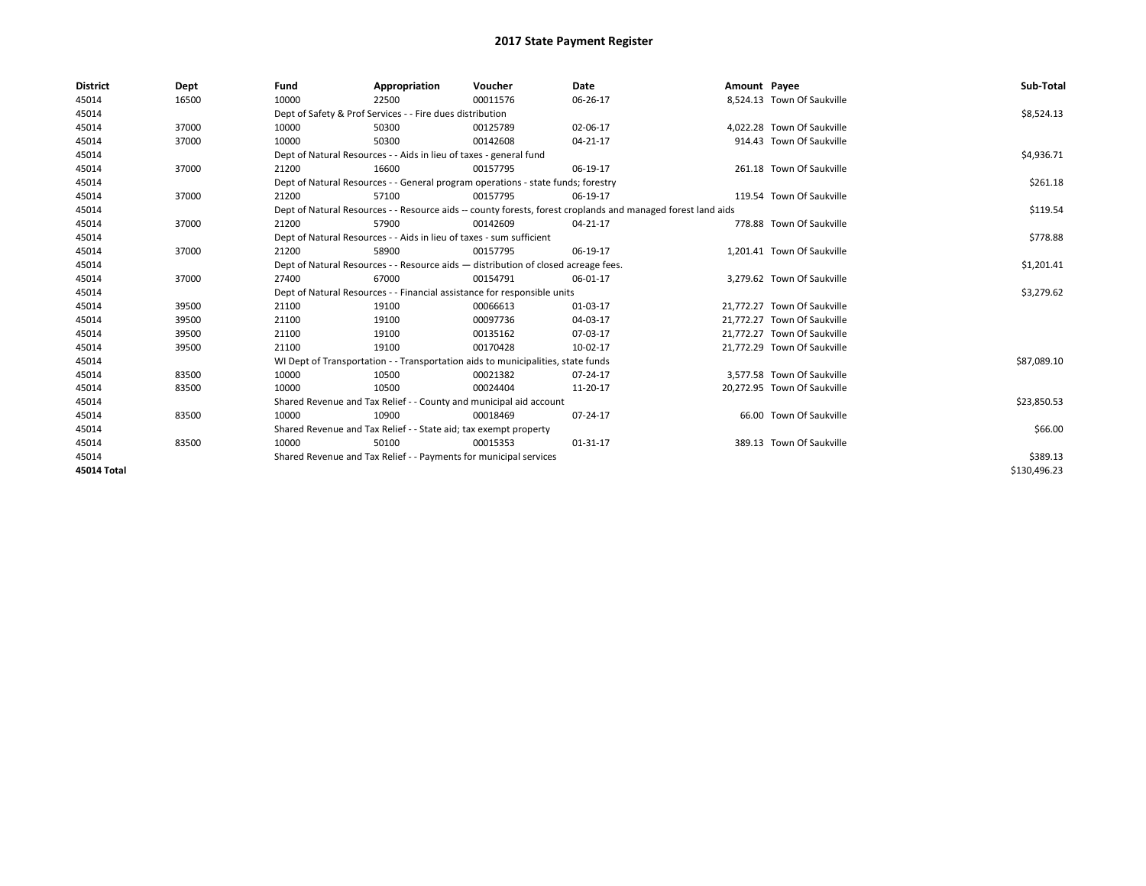| <b>District</b>    | Dept  | Fund  | Appropriation                                                                                                | Voucher  | Date     | Amount Payee |                             | Sub-Total    |
|--------------------|-------|-------|--------------------------------------------------------------------------------------------------------------|----------|----------|--------------|-----------------------------|--------------|
| 45014              | 16500 | 10000 | 22500                                                                                                        | 00011576 | 06-26-17 |              | 8,524.13 Town Of Saukville  |              |
| 45014              |       |       | Dept of Safety & Prof Services - - Fire dues distribution                                                    |          |          |              |                             | \$8,524.13   |
| 45014              | 37000 | 10000 | 50300                                                                                                        | 00125789 | 02-06-17 |              | 4.022.28 Town Of Saukville  |              |
| 45014              | 37000 | 10000 | 50300                                                                                                        | 00142608 | 04-21-17 |              | 914.43 Town Of Saukville    |              |
| 45014              |       |       | Dept of Natural Resources - - Aids in lieu of taxes - general fund                                           |          |          |              |                             | \$4,936.71   |
| 45014              | 37000 | 21200 | 16600                                                                                                        | 00157795 | 06-19-17 |              | 261.18 Town Of Saukville    |              |
| 45014              |       |       | Dept of Natural Resources - - General program operations - state funds; forestry                             |          |          |              |                             | \$261.18     |
| 45014              | 37000 | 21200 | 57100                                                                                                        | 00157795 | 06-19-17 |              | 119.54 Town Of Saukville    |              |
| 45014              |       |       | Dept of Natural Resources - - Resource aids -- county forests, forest croplands and managed forest land aids |          | \$119.54 |              |                             |              |
| 45014              | 37000 | 21200 | 57900                                                                                                        | 00142609 | 04-21-17 |              | 778.88 Town Of Saukville    |              |
| 45014              |       |       | Dept of Natural Resources - - Aids in lieu of taxes - sum sufficient                                         |          |          |              |                             | \$778.88     |
| 45014              | 37000 | 21200 | 58900                                                                                                        | 00157795 | 06-19-17 |              | 1,201.41 Town Of Saukville  |              |
| 45014              |       |       | Dept of Natural Resources - - Resource aids - distribution of closed acreage fees.                           |          |          |              |                             | \$1,201.41   |
| 45014              | 37000 | 27400 | 67000                                                                                                        | 00154791 | 06-01-17 |              | 3,279.62 Town Of Saukville  |              |
| 45014              |       |       | Dept of Natural Resources - - Financial assistance for responsible units                                     |          |          |              |                             | \$3,279.62   |
| 45014              | 39500 | 21100 | 19100                                                                                                        | 00066613 | 01-03-17 |              | 21,772.27 Town Of Saukville |              |
| 45014              | 39500 | 21100 | 19100                                                                                                        | 00097736 | 04-03-17 |              | 21.772.27 Town Of Saukville |              |
| 45014              | 39500 | 21100 | 19100                                                                                                        | 00135162 | 07-03-17 |              | 21,772.27 Town Of Saukville |              |
| 45014              | 39500 | 21100 | 19100                                                                                                        | 00170428 | 10-02-17 |              | 21,772.29 Town Of Saukville |              |
| 45014              |       |       | WI Dept of Transportation - - Transportation aids to municipalities, state funds                             |          |          |              |                             | \$87,089.10  |
| 45014              | 83500 | 10000 | 10500                                                                                                        | 00021382 | 07-24-17 |              | 3,577.58 Town Of Saukville  |              |
| 45014              | 83500 | 10000 | 10500                                                                                                        | 00024404 | 11-20-17 |              | 20,272.95 Town Of Saukville |              |
| 45014              |       |       | Shared Revenue and Tax Relief - - County and municipal aid account                                           |          |          |              |                             | \$23,850.53  |
| 45014              | 83500 | 10000 | 10900                                                                                                        | 00018469 | 07-24-17 |              | 66.00 Town Of Saukville     |              |
| 45014              |       |       | Shared Revenue and Tax Relief - - State aid; tax exempt property                                             |          |          |              |                             | \$66.00      |
| 45014              | 83500 | 10000 | 50100                                                                                                        | 00015353 | 01-31-17 |              | 389.13 Town Of Saukville    |              |
| 45014              |       |       | Shared Revenue and Tax Relief - - Payments for municipal services                                            |          |          |              |                             | \$389.13     |
| <b>45014 Total</b> |       |       |                                                                                                              |          |          |              |                             | \$130.496.23 |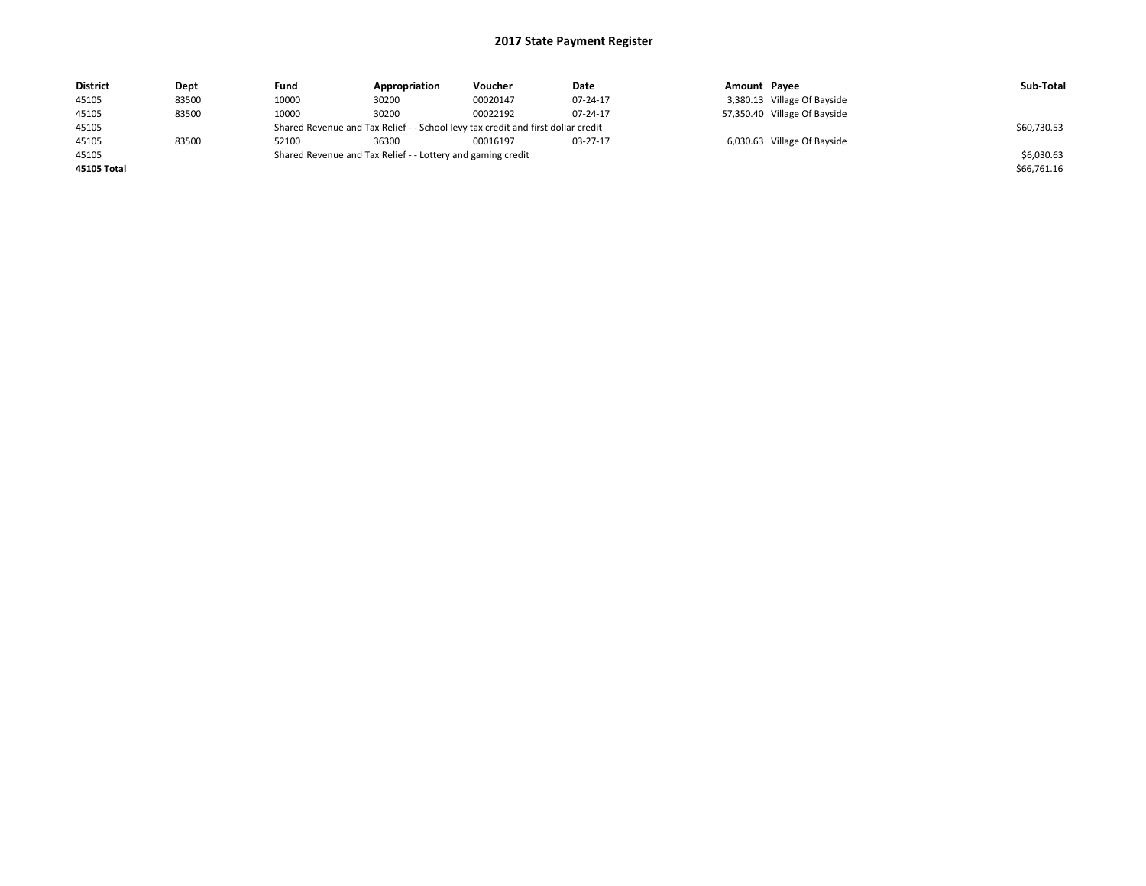| <b>District</b> | Dept  | Fund  | Appropriation                                                                    | Voucher  | Date     | Amount Payee |                              | Sub-Total   |
|-----------------|-------|-------|----------------------------------------------------------------------------------|----------|----------|--------------|------------------------------|-------------|
| 45105           | 83500 | 10000 | 30200                                                                            | 00020147 | 07-24-17 |              | 3,380.13 Village Of Bayside  |             |
| 45105           | 83500 | 10000 | 30200                                                                            | 00022192 | 07-24-17 |              | 57,350.40 Village Of Bayside |             |
| 45105           |       |       | Shared Revenue and Tax Relief - - School levy tax credit and first dollar credit |          |          |              |                              | \$60,730.53 |
| 45105           | 83500 | 52100 | 36300                                                                            | 00016197 | 03-27-17 |              | 6,030.63 Village Of Bayside  |             |
| 45105           |       |       | Shared Revenue and Tax Relief - - Lottery and gaming credit                      |          |          |              |                              | \$6,030.63  |
| 45105 Total     |       |       |                                                                                  |          |          |              |                              | \$66,761.16 |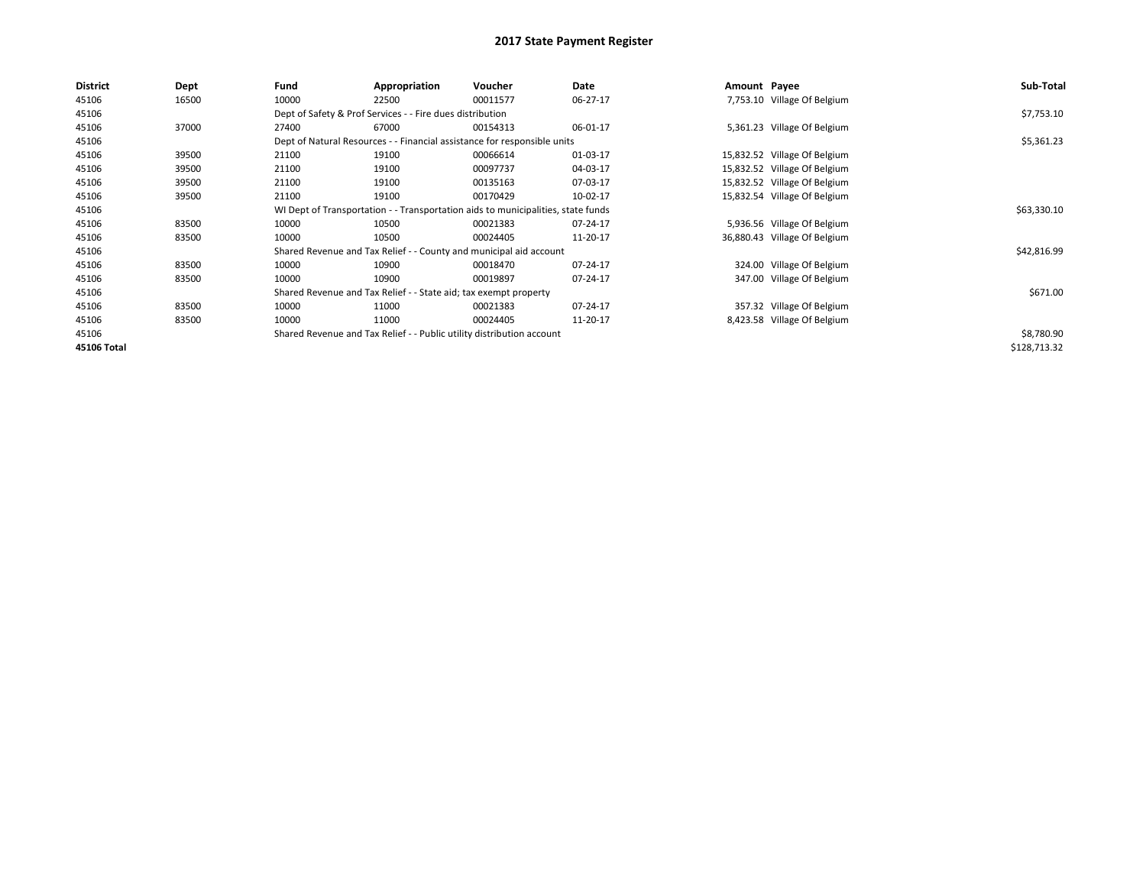| <b>District</b>    | Dept  | Fund                                                                             | Appropriation                                                            | Voucher     | Date     | Amount Payee |                              | Sub-Total    |
|--------------------|-------|----------------------------------------------------------------------------------|--------------------------------------------------------------------------|-------------|----------|--------------|------------------------------|--------------|
| 45106              | 16500 | 10000                                                                            | 22500                                                                    | 00011577    | 06-27-17 |              | 7,753.10 Village Of Belgium  |              |
| 45106              |       |                                                                                  | Dept of Safety & Prof Services - - Fire dues distribution                |             |          |              |                              | \$7,753.10   |
| 45106              | 37000 | 27400                                                                            | 67000                                                                    | 00154313    | 06-01-17 |              | 5,361.23 Village Of Belgium  |              |
| 45106              |       |                                                                                  | Dept of Natural Resources - - Financial assistance for responsible units |             |          |              |                              | \$5,361.23   |
| 45106              | 39500 | 21100                                                                            | 19100                                                                    | 00066614    | 01-03-17 |              | 15,832.52 Village Of Belgium |              |
| 45106              | 39500 | 21100                                                                            | 19100                                                                    | 00097737    | 04-03-17 |              | 15,832.52 Village Of Belgium |              |
| 45106              | 39500 | 21100                                                                            | 19100                                                                    | 00135163    | 07-03-17 |              | 15,832.52 Village Of Belgium |              |
| 45106              | 39500 | 21100                                                                            | 19100                                                                    | 00170429    | 10-02-17 |              | 15,832.54 Village Of Belgium |              |
| 45106              |       | WI Dept of Transportation - - Transportation aids to municipalities, state funds |                                                                          | \$63,330.10 |          |              |                              |              |
| 45106              | 83500 | 10000                                                                            | 10500                                                                    | 00021383    | 07-24-17 |              | 5,936.56 Village Of Belgium  |              |
| 45106              | 83500 | 10000                                                                            | 10500                                                                    | 00024405    | 11-20-17 |              | 36,880.43 Village Of Belgium |              |
| 45106              |       |                                                                                  | Shared Revenue and Tax Relief - - County and municipal aid account       |             |          |              |                              | \$42,816.99  |
| 45106              | 83500 | 10000                                                                            | 10900                                                                    | 00018470    | 07-24-17 |              | 324.00 Village Of Belgium    |              |
| 45106              | 83500 | 10000                                                                            | 10900                                                                    | 00019897    | 07-24-17 |              | 347.00 Village Of Belgium    |              |
| 45106              |       |                                                                                  | Shared Revenue and Tax Relief - - State aid; tax exempt property         |             |          |              |                              | \$671.00     |
| 45106              | 83500 | 10000                                                                            | 11000                                                                    | 00021383    | 07-24-17 |              | 357.32 Village Of Belgium    |              |
| 45106              | 83500 | 10000                                                                            | 11000                                                                    | 00024405    | 11-20-17 |              | 8,423.58 Village Of Belgium  |              |
| 45106              |       |                                                                                  | Shared Revenue and Tax Relief - - Public utility distribution account    |             |          |              |                              | \$8,780.90   |
| <b>45106 Total</b> |       |                                                                                  |                                                                          |             |          |              |                              | \$128,713.32 |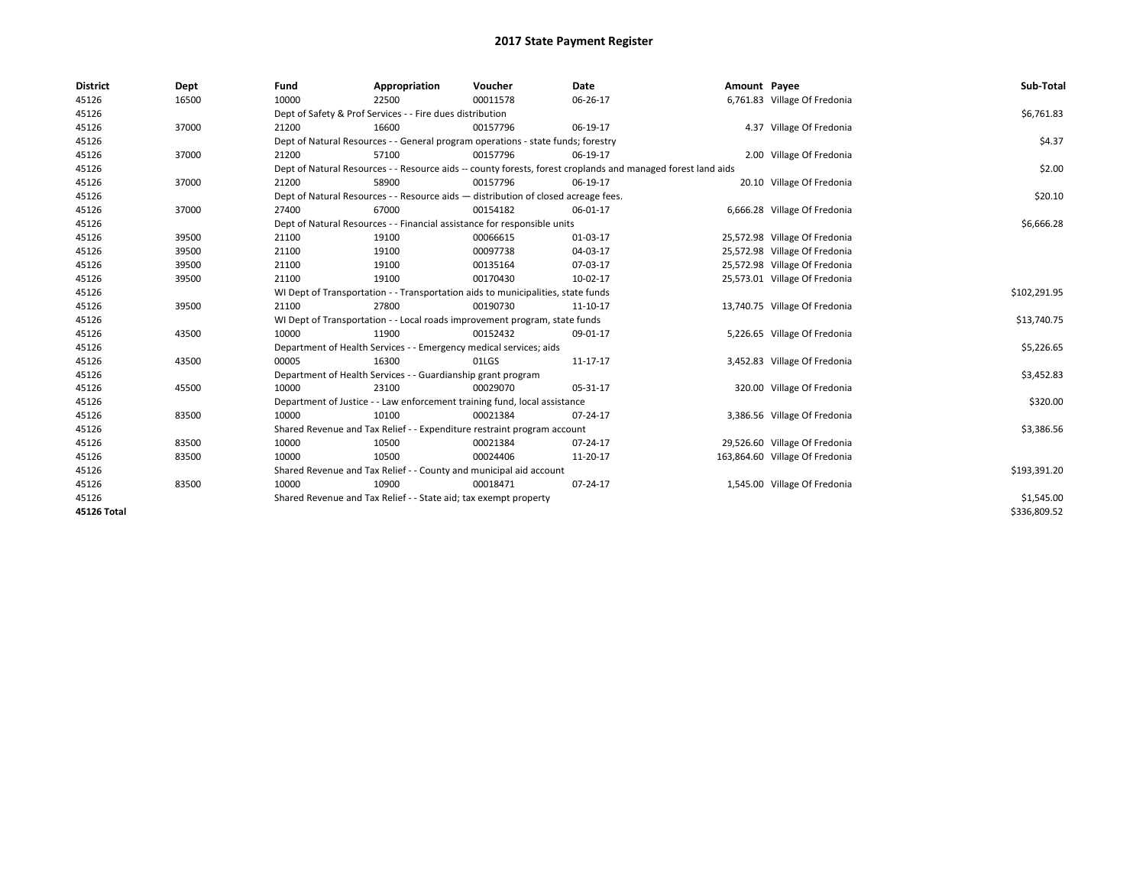| <b>District</b> | Dept  | Fund  | Appropriation                                                                                                | Voucher  | Date     | Amount Payee |                                | Sub-Total    |  |  |  |
|-----------------|-------|-------|--------------------------------------------------------------------------------------------------------------|----------|----------|--------------|--------------------------------|--------------|--|--|--|
| 45126           | 16500 | 10000 | 22500                                                                                                        | 00011578 | 06-26-17 |              | 6,761.83 Village Of Fredonia   |              |  |  |  |
| 45126           |       |       | Dept of Safety & Prof Services - - Fire dues distribution                                                    |          |          |              |                                | \$6,761.83   |  |  |  |
| 45126           | 37000 | 21200 | 16600                                                                                                        | 00157796 | 06-19-17 |              | 4.37 Village Of Fredonia       |              |  |  |  |
| 45126           |       |       | Dept of Natural Resources - - General program operations - state funds; forestry                             |          |          |              |                                |              |  |  |  |
| 45126           | 37000 | 21200 | 57100                                                                                                        | 00157796 | 06-19-17 |              | 2.00 Village Of Fredonia       |              |  |  |  |
| 45126           |       |       | Dept of Natural Resources - - Resource aids -- county forests, forest croplands and managed forest land aids |          |          |              |                                |              |  |  |  |
| 45126           | 37000 | 21200 | 58900                                                                                                        | 00157796 | 06-19-17 |              | 20.10 Village Of Fredonia      |              |  |  |  |
| 45126           |       |       | Dept of Natural Resources - - Resource aids - distribution of closed acreage fees.                           |          |          |              |                                | \$20.10      |  |  |  |
| 45126           | 37000 | 27400 | 67000                                                                                                        | 00154182 | 06-01-17 |              | 6,666.28 Village Of Fredonia   |              |  |  |  |
| 45126           |       |       | Dept of Natural Resources - - Financial assistance for responsible units                                     |          |          |              |                                | \$6,666.28   |  |  |  |
| 45126           | 39500 | 21100 | 19100                                                                                                        | 00066615 | 01-03-17 |              | 25,572.98 Village Of Fredonia  |              |  |  |  |
| 45126           | 39500 | 21100 | 19100                                                                                                        | 00097738 | 04-03-17 |              | 25,572.98 Village Of Fredonia  |              |  |  |  |
| 45126           | 39500 | 21100 | 19100                                                                                                        | 00135164 | 07-03-17 |              | 25,572.98 Village Of Fredonia  |              |  |  |  |
| 45126           | 39500 | 21100 | 19100                                                                                                        | 00170430 | 10-02-17 |              | 25,573.01 Village Of Fredonia  |              |  |  |  |
| 45126           |       |       | WI Dept of Transportation - - Transportation aids to municipalities, state funds                             |          |          |              |                                |              |  |  |  |
| 45126           | 39500 | 21100 | 27800                                                                                                        | 00190730 | 11-10-17 |              | 13,740.75 Village Of Fredonia  |              |  |  |  |
| 45126           |       |       | WI Dept of Transportation - - Local roads improvement program, state funds                                   |          |          |              |                                | \$13,740.75  |  |  |  |
| 45126           | 43500 | 10000 | 11900                                                                                                        | 00152432 | 09-01-17 |              | 5,226.65 Village Of Fredonia   |              |  |  |  |
| 45126           |       |       | Department of Health Services - - Emergency medical services; aids                                           |          |          |              |                                | \$5,226.65   |  |  |  |
| 45126           | 43500 | 00005 | 16300                                                                                                        | 01LGS    | 11-17-17 |              | 3,452.83 Village Of Fredonia   |              |  |  |  |
| 45126           |       |       | Department of Health Services - - Guardianship grant program                                                 |          |          |              |                                | \$3,452.83   |  |  |  |
| 45126           | 45500 | 10000 | 23100                                                                                                        | 00029070 | 05-31-17 |              | 320.00 Village Of Fredonia     |              |  |  |  |
| 45126           |       |       | Department of Justice - - Law enforcement training fund, local assistance                                    |          |          |              |                                | \$320.00     |  |  |  |
| 45126           | 83500 | 10000 | 10100                                                                                                        | 00021384 | 07-24-17 |              | 3,386.56 Village Of Fredonia   |              |  |  |  |
| 45126           |       |       | Shared Revenue and Tax Relief - - Expenditure restraint program account                                      |          |          |              |                                | \$3,386.56   |  |  |  |
| 45126           | 83500 | 10000 | 10500                                                                                                        | 00021384 | 07-24-17 |              | 29,526.60 Village Of Fredonia  |              |  |  |  |
| 45126           | 83500 | 10000 | 10500                                                                                                        | 00024406 | 11-20-17 |              | 163,864.60 Village Of Fredonia |              |  |  |  |
| 45126           |       |       | Shared Revenue and Tax Relief - - County and municipal aid account                                           |          |          |              |                                | \$193,391.20 |  |  |  |
| 45126           | 83500 | 10000 | 10900                                                                                                        | 00018471 | 07-24-17 |              | 1,545.00 Village Of Fredonia   |              |  |  |  |
| 45126           |       |       | Shared Revenue and Tax Relief - - State aid; tax exempt property                                             |          |          |              |                                | \$1,545.00   |  |  |  |
| 45126 Total     |       |       |                                                                                                              |          |          |              |                                | \$336,809.52 |  |  |  |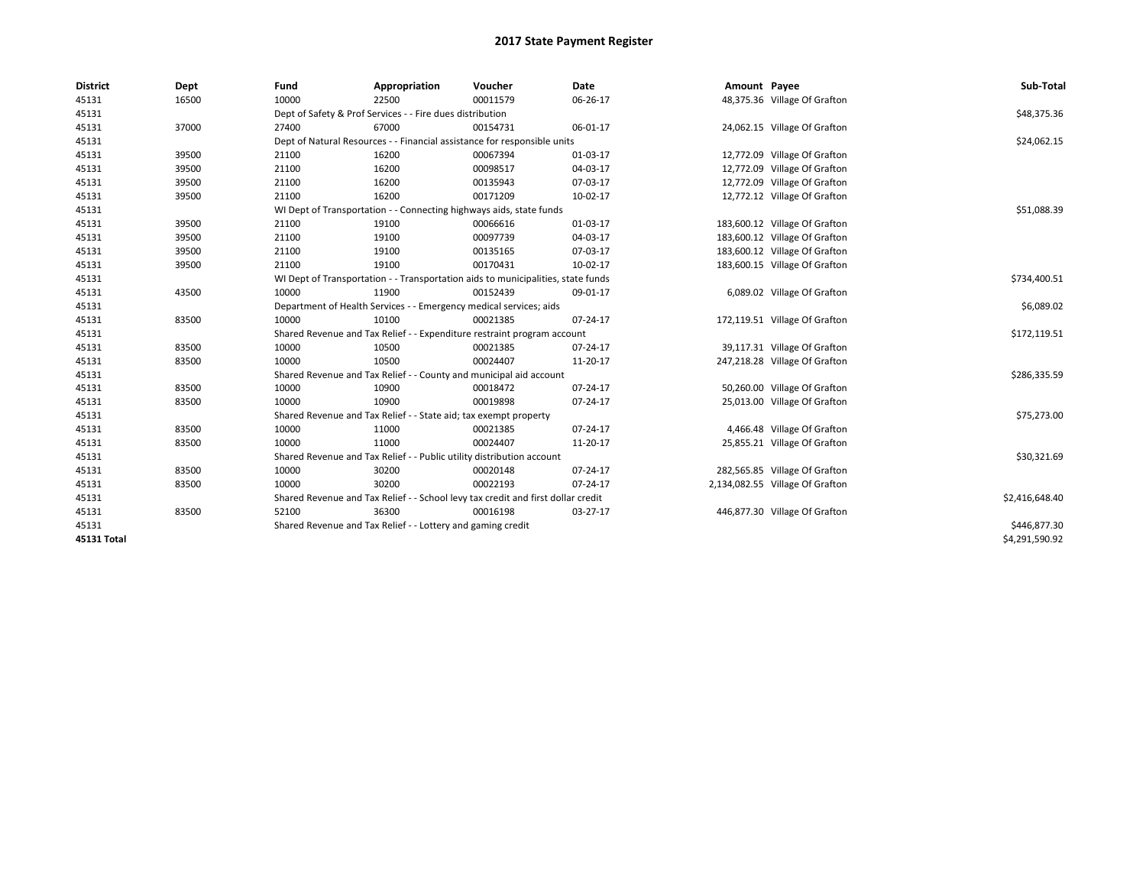| <b>District</b> | Dept  | Fund                                                                | Appropriation                                                                    | Voucher     | <b>Date</b> | Amount Payee |                                 | Sub-Total      |
|-----------------|-------|---------------------------------------------------------------------|----------------------------------------------------------------------------------|-------------|-------------|--------------|---------------------------------|----------------|
| 45131           | 16500 | 10000                                                               | 22500                                                                            | 00011579    | 06-26-17    |              | 48,375.36 Village Of Grafton    |                |
| 45131           |       |                                                                     | Dept of Safety & Prof Services - - Fire dues distribution                        |             |             |              |                                 | \$48,375.36    |
| 45131           | 37000 | 27400                                                               | 67000                                                                            | 00154731    | 06-01-17    |              | 24,062.15 Village Of Grafton    |                |
| 45131           |       |                                                                     | Dept of Natural Resources - - Financial assistance for responsible units         |             |             |              |                                 | \$24,062.15    |
| 45131           | 39500 | 21100                                                               | 16200                                                                            | 00067394    | 01-03-17    |              | 12,772.09 Village Of Grafton    |                |
| 45131           | 39500 | 21100                                                               | 16200                                                                            | 00098517    | 04-03-17    |              | 12,772.09 Village Of Grafton    |                |
| 45131           | 39500 | 21100                                                               | 16200                                                                            | 00135943    | 07-03-17    |              | 12,772.09 Village Of Grafton    |                |
| 45131           | 39500 | 21100                                                               | 16200                                                                            | 00171209    | 10-02-17    |              | 12,772.12 Village Of Grafton    |                |
| 45131           |       | WI Dept of Transportation - - Connecting highways aids, state funds |                                                                                  | \$51,088.39 |             |              |                                 |                |
| 45131           | 39500 | 21100                                                               | 19100                                                                            | 00066616    | 01-03-17    |              | 183,600.12 Village Of Grafton   |                |
| 45131           | 39500 | 21100                                                               | 19100                                                                            | 00097739    | 04-03-17    |              | 183,600.12 Village Of Grafton   |                |
| 45131           | 39500 | 21100                                                               | 19100                                                                            | 00135165    | 07-03-17    |              | 183,600.12 Village Of Grafton   |                |
| 45131           | 39500 | 21100                                                               | 19100                                                                            | 00170431    | 10-02-17    |              | 183,600.15 Village Of Grafton   |                |
| 45131           |       |                                                                     | WI Dept of Transportation - - Transportation aids to municipalities, state funds |             |             |              |                                 | \$734,400.51   |
| 45131           | 43500 | 10000                                                               | 11900                                                                            | 00152439    | 09-01-17    |              | 6,089.02 Village Of Grafton     |                |
| 45131           |       | Department of Health Services - - Emergency medical services; aids  |                                                                                  | \$6,089.02  |             |              |                                 |                |
| 45131           | 83500 | 10000                                                               | 10100                                                                            | 00021385    | 07-24-17    |              | 172,119.51 Village Of Grafton   |                |
| 45131           |       |                                                                     | Shared Revenue and Tax Relief - - Expenditure restraint program account          |             |             |              |                                 | \$172,119.51   |
| 45131           | 83500 | 10000                                                               | 10500                                                                            | 00021385    | 07-24-17    |              | 39,117.31 Village Of Grafton    |                |
| 45131           | 83500 | 10000                                                               | 10500                                                                            | 00024407    | 11-20-17    |              | 247,218.28 Village Of Grafton   |                |
| 45131           |       |                                                                     | Shared Revenue and Tax Relief - - County and municipal aid account               |             |             |              |                                 | \$286,335.59   |
| 45131           | 83500 | 10000                                                               | 10900                                                                            | 00018472    | 07-24-17    |              | 50,260.00 Village Of Grafton    |                |
| 45131           | 83500 | 10000                                                               | 10900                                                                            | 00019898    | 07-24-17    |              | 25,013.00 Village Of Grafton    |                |
| 45131           |       |                                                                     | Shared Revenue and Tax Relief - - State aid; tax exempt property                 |             |             |              |                                 | \$75,273.00    |
| 45131           | 83500 | 10000                                                               | 11000                                                                            | 00021385    | 07-24-17    |              | 4,466.48 Village Of Grafton     |                |
| 45131           | 83500 | 10000                                                               | 11000                                                                            | 00024407    | 11-20-17    |              | 25,855.21 Village Of Grafton    |                |
| 45131           |       |                                                                     | Shared Revenue and Tax Relief - - Public utility distribution account            |             |             |              |                                 | \$30,321.69    |
| 45131           | 83500 | 10000                                                               | 30200                                                                            | 00020148    | 07-24-17    |              | 282,565.85 Village Of Grafton   |                |
| 45131           | 83500 | 10000                                                               | 30200                                                                            | 00022193    | 07-24-17    |              | 2,134,082.55 Village Of Grafton |                |
| 45131           |       |                                                                     | Shared Revenue and Tax Relief - - School levy tax credit and first dollar credit |             |             |              |                                 | \$2,416,648.40 |
| 45131           | 83500 | 52100                                                               | 36300                                                                            | 00016198    | 03-27-17    |              | 446,877.30 Village Of Grafton   |                |
| 45131           |       |                                                                     | Shared Revenue and Tax Relief - - Lottery and gaming credit                      |             |             |              |                                 | \$446,877.30   |
| 45131 Total     |       |                                                                     |                                                                                  |             |             |              |                                 | \$4,291,590.92 |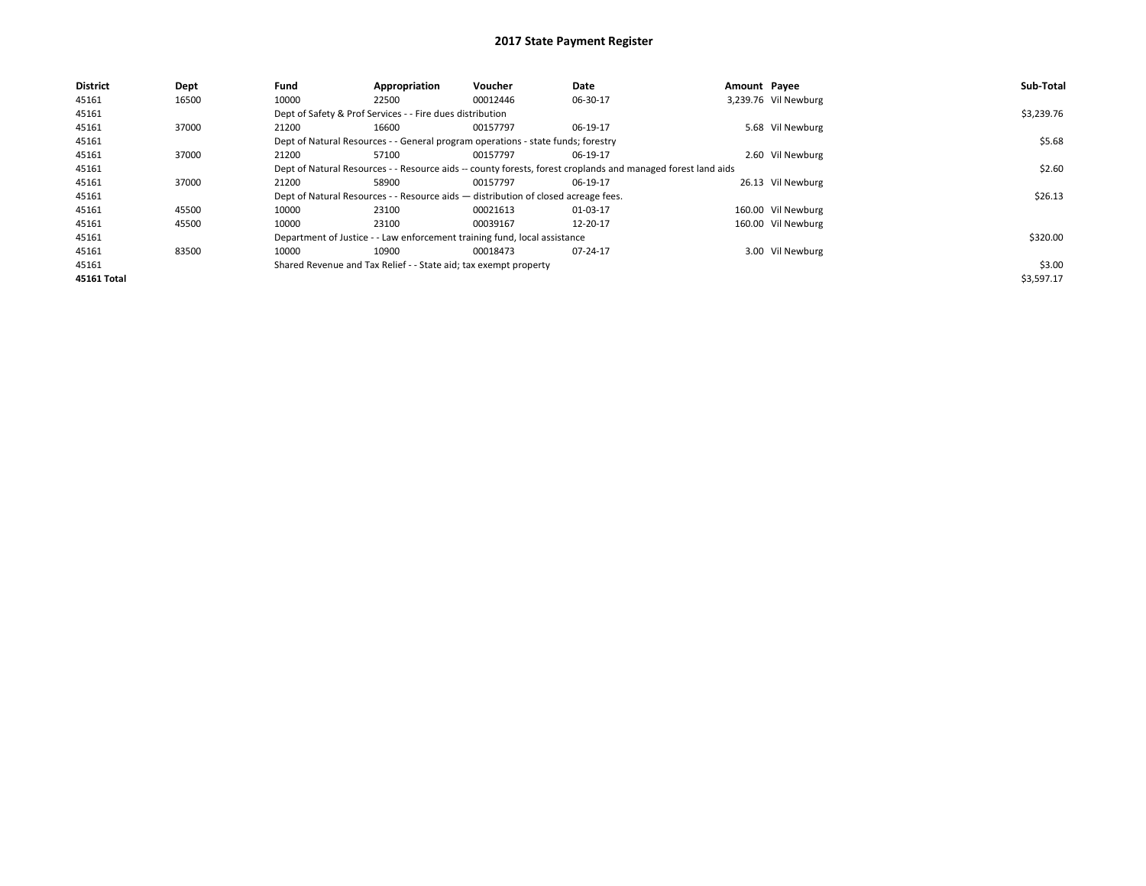| <b>District</b> | Dept  | Fund                                                                                                         | Appropriation                                                    | Voucher                                                                            | Date     | Amount Payee |                      | Sub-Total  |
|-----------------|-------|--------------------------------------------------------------------------------------------------------------|------------------------------------------------------------------|------------------------------------------------------------------------------------|----------|--------------|----------------------|------------|
| 45161           | 16500 | 10000                                                                                                        | 22500                                                            | 00012446                                                                           | 06-30-17 |              | 3,239.76 Vil Newburg |            |
| 45161           |       |                                                                                                              | Dept of Safety & Prof Services - - Fire dues distribution        |                                                                                    |          |              |                      | \$3,239.76 |
| 45161           | 37000 | 21200                                                                                                        | 16600                                                            | 00157797                                                                           | 06-19-17 |              | 5.68 Vil Newburg     |            |
| 45161           |       | Dept of Natural Resources - - General program operations - state funds; forestry                             |                                                                  | \$5.68                                                                             |          |              |                      |            |
| 45161           | 37000 | 21200                                                                                                        | 57100                                                            | 00157797                                                                           | 06-19-17 |              | 2.60 Vil Newburg     |            |
| 45161           |       | Dept of Natural Resources - - Resource aids -- county forests, forest croplands and managed forest land aids |                                                                  | \$2.60                                                                             |          |              |                      |            |
| 45161           | 37000 | 21200                                                                                                        | 58900                                                            | 00157797                                                                           | 06-19-17 |              | 26.13 Vil Newburg    |            |
| 45161           |       |                                                                                                              |                                                                  | Dept of Natural Resources - - Resource aids - distribution of closed acreage fees. |          |              |                      | \$26.13    |
| 45161           | 45500 | 10000                                                                                                        | 23100                                                            | 00021613                                                                           | 01-03-17 |              | 160.00 Vil Newburg   |            |
| 45161           | 45500 | 10000                                                                                                        | 23100                                                            | 00039167                                                                           | 12-20-17 |              | 160.00 Vil Newburg   |            |
| 45161           |       |                                                                                                              |                                                                  | Department of Justice - - Law enforcement training fund, local assistance          |          |              |                      | \$320.00   |
| 45161           | 83500 | 10000                                                                                                        | 10900                                                            | 00018473                                                                           | 07-24-17 |              | 3.00 Vil Newburg     |            |
| 45161           |       |                                                                                                              | Shared Revenue and Tax Relief - - State aid; tax exempt property |                                                                                    |          |              |                      | \$3.00     |
| 45161 Total     |       |                                                                                                              |                                                                  |                                                                                    |          |              |                      | \$3,597.17 |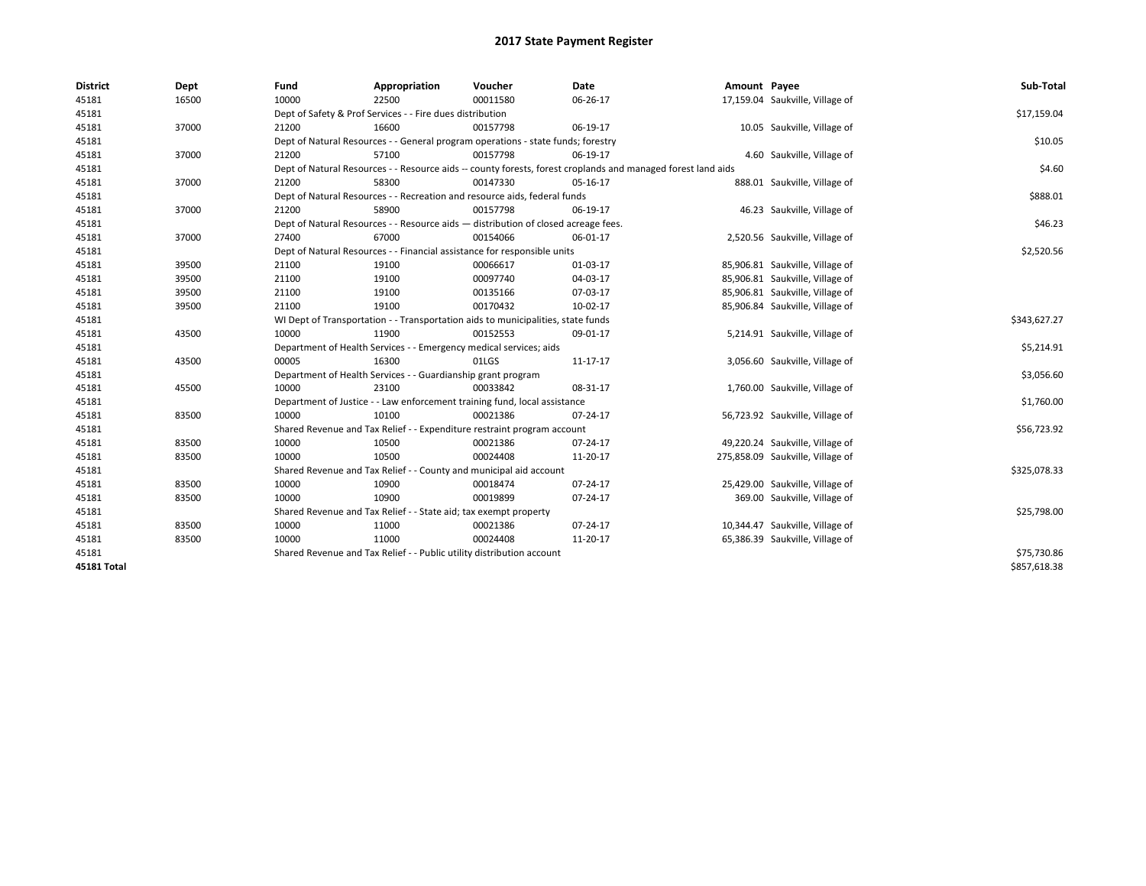| <b>District</b>    | Dept  | Fund  | Appropriation                                                                                                | Voucher  | Date     | Amount Payee |                                  | Sub-Total    |  |  |
|--------------------|-------|-------|--------------------------------------------------------------------------------------------------------------|----------|----------|--------------|----------------------------------|--------------|--|--|
| 45181              | 16500 | 10000 | 22500                                                                                                        | 00011580 | 06-26-17 |              | 17,159.04 Saukville, Village of  |              |  |  |
| 45181              |       |       | Dept of Safety & Prof Services - - Fire dues distribution                                                    |          |          |              |                                  | \$17,159.04  |  |  |
| 45181              | 37000 | 21200 | 16600                                                                                                        | 00157798 | 06-19-17 |              | 10.05 Saukville, Village of      |              |  |  |
| 45181              |       |       | Dept of Natural Resources - - General program operations - state funds; forestry                             |          |          |              |                                  | \$10.05      |  |  |
| 45181              | 37000 | 21200 | 57100                                                                                                        | 00157798 | 06-19-17 |              | 4.60 Saukville, Village of       |              |  |  |
| 45181              |       |       | Dept of Natural Resources - - Resource aids -- county forests, forest croplands and managed forest land aids |          |          |              |                                  |              |  |  |
| 45181              | 37000 | 21200 | 58300                                                                                                        | 00147330 | 05-16-17 |              | 888.01 Saukville, Village of     |              |  |  |
| 45181              |       |       | Dept of Natural Resources - - Recreation and resource aids, federal funds                                    |          |          |              |                                  |              |  |  |
| 45181              | 37000 | 21200 | 58900                                                                                                        | 00157798 | 06-19-17 |              | 46.23 Saukville, Village of      |              |  |  |
| 45181              |       |       | Dept of Natural Resources - - Resource aids - distribution of closed acreage fees.                           |          |          |              |                                  | \$46.23      |  |  |
| 45181              | 37000 | 27400 | 67000                                                                                                        | 00154066 | 06-01-17 |              | 2,520.56 Saukville, Village of   |              |  |  |
| 45181              |       |       | Dept of Natural Resources - - Financial assistance for responsible units                                     |          |          |              |                                  | \$2,520.56   |  |  |
| 45181              | 39500 | 21100 | 19100                                                                                                        | 00066617 | 01-03-17 |              | 85,906.81 Saukville, Village of  |              |  |  |
| 45181              | 39500 | 21100 | 19100                                                                                                        | 00097740 | 04-03-17 |              | 85,906.81 Saukville, Village of  |              |  |  |
| 45181              | 39500 | 21100 | 19100                                                                                                        | 00135166 | 07-03-17 |              | 85,906.81 Saukville, Village of  |              |  |  |
| 45181              | 39500 | 21100 | 19100                                                                                                        | 00170432 | 10-02-17 |              | 85,906.84 Saukville, Village of  |              |  |  |
| 45181              |       |       | WI Dept of Transportation - - Transportation aids to municipalities, state funds                             |          |          |              |                                  |              |  |  |
| 45181              | 43500 | 10000 | 11900                                                                                                        | 00152553 | 09-01-17 |              | 5,214.91 Saukville, Village of   |              |  |  |
| 45181              |       |       | Department of Health Services - - Emergency medical services; aids                                           |          |          |              |                                  | \$5,214.91   |  |  |
| 45181              | 43500 | 00005 | 16300                                                                                                        | 01LGS    | 11-17-17 |              | 3,056.60 Saukville, Village of   |              |  |  |
| 45181              |       |       | Department of Health Services - - Guardianship grant program                                                 |          |          |              |                                  | \$3,056.60   |  |  |
| 45181              | 45500 | 10000 | 23100                                                                                                        | 00033842 | 08-31-17 |              | 1,760.00 Saukville, Village of   |              |  |  |
| 45181              |       |       | Department of Justice - - Law enforcement training fund, local assistance                                    |          |          |              |                                  | \$1,760.00   |  |  |
| 45181              | 83500 | 10000 | 10100                                                                                                        | 00021386 | 07-24-17 |              | 56,723.92 Saukville, Village of  |              |  |  |
| 45181              |       |       | Shared Revenue and Tax Relief - - Expenditure restraint program account                                      |          |          |              |                                  | \$56,723.92  |  |  |
| 45181              | 83500 | 10000 | 10500                                                                                                        | 00021386 | 07-24-17 |              | 49,220.24 Saukville, Village of  |              |  |  |
| 45181              | 83500 | 10000 | 10500                                                                                                        | 00024408 | 11-20-17 |              | 275,858.09 Saukville, Village of |              |  |  |
| 45181              |       |       | Shared Revenue and Tax Relief - - County and municipal aid account                                           |          |          |              |                                  | \$325,078.33 |  |  |
| 45181              | 83500 | 10000 | 10900                                                                                                        | 00018474 | 07-24-17 |              | 25,429.00 Saukville, Village of  |              |  |  |
| 45181              | 83500 | 10000 | 10900                                                                                                        | 00019899 | 07-24-17 |              | 369.00 Saukville, Village of     |              |  |  |
| 45181              |       |       | Shared Revenue and Tax Relief - - State aid; tax exempt property                                             |          |          |              |                                  | \$25,798.00  |  |  |
| 45181              | 83500 | 10000 | 11000                                                                                                        | 00021386 | 07-24-17 |              | 10,344.47 Saukville, Village of  |              |  |  |
| 45181              | 83500 | 10000 | 11000                                                                                                        | 00024408 | 11-20-17 |              | 65,386.39 Saukville, Village of  |              |  |  |
| 45181              |       |       | Shared Revenue and Tax Relief - - Public utility distribution account                                        |          |          |              |                                  | \$75,730.86  |  |  |
| <b>45181 Total</b> |       |       |                                                                                                              |          |          |              |                                  | \$857,618.38 |  |  |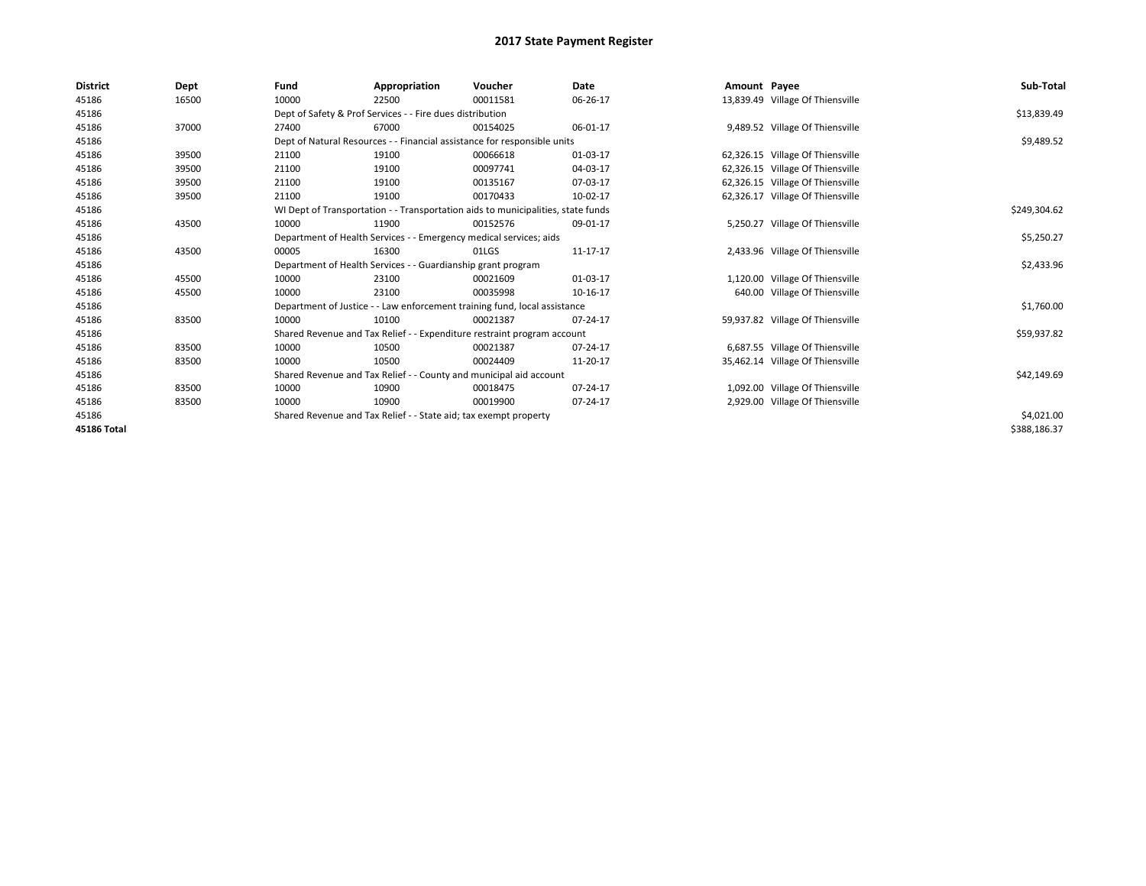| <b>District</b>    | Dept  | Fund  | Appropriation                                                                    | Voucher  | <b>Date</b> | Amount Payee |                                  | Sub-Total    |
|--------------------|-------|-------|----------------------------------------------------------------------------------|----------|-------------|--------------|----------------------------------|--------------|
| 45186              | 16500 | 10000 | 22500                                                                            | 00011581 | 06-26-17    |              | 13,839.49 Village Of Thiensville |              |
| 45186              |       |       | Dept of Safety & Prof Services - - Fire dues distribution                        |          |             |              |                                  | \$13,839.49  |
| 45186              | 37000 | 27400 | 67000                                                                            | 00154025 | 06-01-17    |              | 9,489.52 Village Of Thiensville  |              |
| 45186              |       |       | Dept of Natural Resources - - Financial assistance for responsible units         |          |             |              |                                  | \$9,489.52   |
| 45186              | 39500 | 21100 | 19100                                                                            | 00066618 | 01-03-17    |              | 62,326.15 Village Of Thiensville |              |
| 45186              | 39500 | 21100 | 19100                                                                            | 00097741 | 04-03-17    |              | 62,326.15 Village Of Thiensville |              |
| 45186              | 39500 | 21100 | 19100                                                                            | 00135167 | 07-03-17    |              | 62,326.15 Village Of Thiensville |              |
| 45186              | 39500 | 21100 | 19100                                                                            | 00170433 | 10-02-17    |              | 62,326.17 Village Of Thiensville |              |
| 45186              |       |       | WI Dept of Transportation - - Transportation aids to municipalities, state funds |          |             |              |                                  | \$249,304.62 |
| 45186              | 43500 | 10000 | 11900                                                                            | 00152576 | 09-01-17    |              | 5,250.27 Village Of Thiensville  |              |
| 45186              |       |       | Department of Health Services - - Emergency medical services; aids               |          |             |              |                                  | \$5,250.27   |
| 45186              | 43500 | 00005 | 16300                                                                            | 01LGS    | 11-17-17    |              | 2,433.96 Village Of Thiensville  |              |
| 45186              |       |       | Department of Health Services - - Guardianship grant program                     |          |             |              |                                  | \$2,433.96   |
| 45186              | 45500 | 10000 | 23100                                                                            | 00021609 | 01-03-17    |              | 1,120.00 Village Of Thiensville  |              |
| 45186              | 45500 | 10000 | 23100                                                                            | 00035998 | 10-16-17    |              | 640.00 Village Of Thiensville    |              |
| 45186              |       |       | Department of Justice - - Law enforcement training fund, local assistance        |          |             |              |                                  | \$1,760.00   |
| 45186              | 83500 | 10000 | 10100                                                                            | 00021387 | 07-24-17    |              | 59,937.82 Village Of Thiensville |              |
| 45186              |       |       | Shared Revenue and Tax Relief - - Expenditure restraint program account          |          |             |              |                                  | \$59,937.82  |
| 45186              | 83500 | 10000 | 10500                                                                            | 00021387 | 07-24-17    |              | 6,687.55 Village Of Thiensville  |              |
| 45186              | 83500 | 10000 | 10500                                                                            | 00024409 | 11-20-17    |              | 35,462.14 Village Of Thiensville |              |
| 45186              |       |       | Shared Revenue and Tax Relief - - County and municipal aid account               |          |             |              |                                  | \$42,149.69  |
| 45186              | 83500 | 10000 | 10900                                                                            | 00018475 | 07-24-17    |              | 1,092.00 Village Of Thiensville  |              |
| 45186              | 83500 | 10000 | 10900                                                                            | 00019900 | 07-24-17    |              | 2,929.00 Village Of Thiensville  |              |
| 45186              |       |       | Shared Revenue and Tax Relief - - State aid; tax exempt property                 |          |             |              |                                  | \$4,021.00   |
| <b>45186 Total</b> |       |       |                                                                                  |          |             |              |                                  | \$388,186.37 |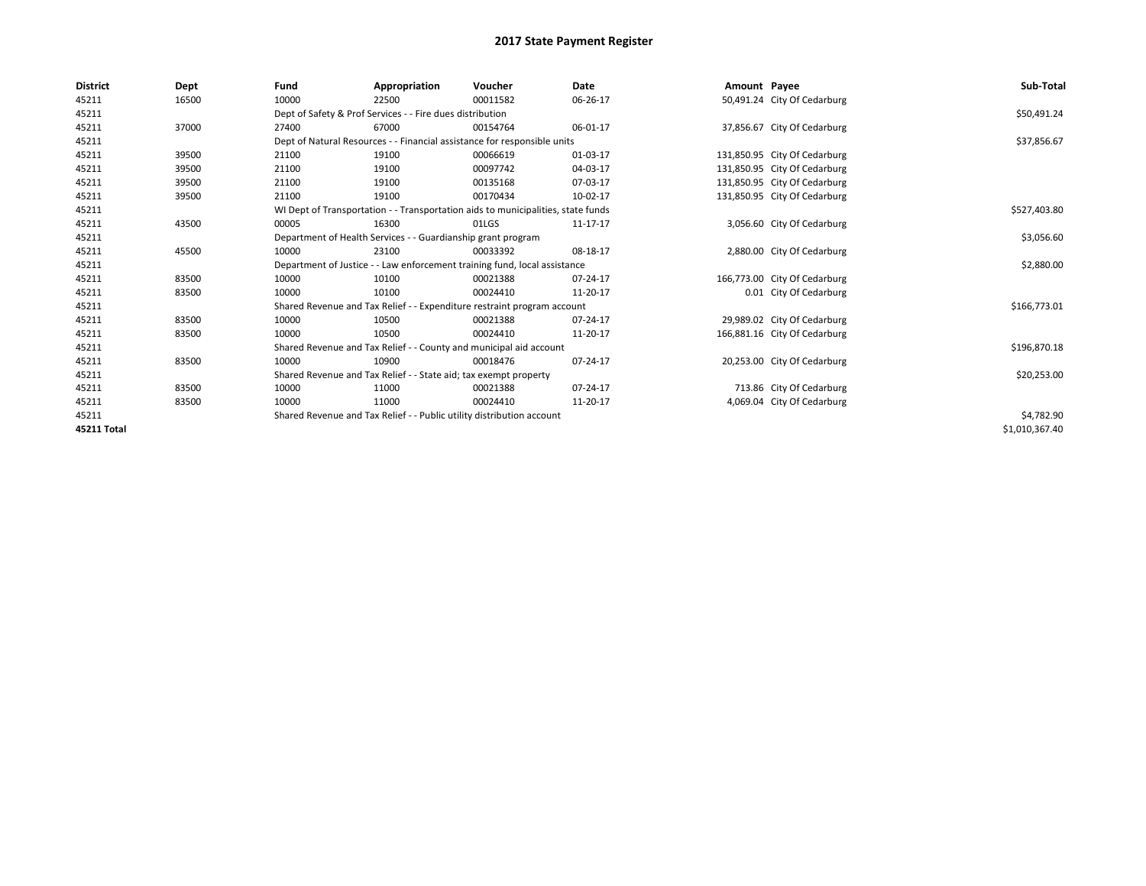| <b>District</b> | Dept  | Fund  | Appropriation                                                         | Voucher                                                                          | Date     | Amount Payee |                              | Sub-Total      |
|-----------------|-------|-------|-----------------------------------------------------------------------|----------------------------------------------------------------------------------|----------|--------------|------------------------------|----------------|
| 45211           | 16500 | 10000 | 22500                                                                 | 00011582                                                                         | 06-26-17 |              | 50,491.24 City Of Cedarburg  |                |
| 45211           |       |       | Dept of Safety & Prof Services - - Fire dues distribution             |                                                                                  |          |              |                              | \$50,491.24    |
| 45211           | 37000 | 27400 | 67000                                                                 | 00154764                                                                         | 06-01-17 |              | 37,856.67 City Of Cedarburg  |                |
| 45211           |       |       |                                                                       | Dept of Natural Resources - - Financial assistance for responsible units         |          |              |                              | \$37,856.67    |
| 45211           | 39500 | 21100 | 19100                                                                 | 00066619                                                                         | 01-03-17 |              | 131,850.95 City Of Cedarburg |                |
| 45211           | 39500 | 21100 | 19100                                                                 | 00097742                                                                         | 04-03-17 |              | 131,850.95 City Of Cedarburg |                |
| 45211           | 39500 | 21100 | 19100                                                                 | 00135168                                                                         | 07-03-17 |              | 131,850.95 City Of Cedarburg |                |
| 45211           | 39500 | 21100 | 19100                                                                 | 00170434                                                                         | 10-02-17 |              | 131,850.95 City Of Cedarburg |                |
| 45211           |       |       |                                                                       | WI Dept of Transportation - - Transportation aids to municipalities, state funds |          |              |                              | \$527,403.80   |
| 45211           | 43500 | 00005 | 16300                                                                 | 01LGS                                                                            | 11-17-17 |              | 3,056.60 City Of Cedarburg   |                |
| 45211           |       |       | Department of Health Services - - Guardianship grant program          |                                                                                  |          |              |                              | \$3,056.60     |
| 45211           | 45500 | 10000 | 23100                                                                 | 00033392                                                                         | 08-18-17 |              | 2,880.00 City Of Cedarburg   |                |
| 45211           |       |       |                                                                       | Department of Justice - - Law enforcement training fund, local assistance        |          |              |                              | \$2,880.00     |
| 45211           | 83500 | 10000 | 10100                                                                 | 00021388                                                                         | 07-24-17 |              | 166,773.00 City Of Cedarburg |                |
| 45211           | 83500 | 10000 | 10100                                                                 | 00024410                                                                         | 11-20-17 |              | 0.01 City Of Cedarburg       |                |
| 45211           |       |       |                                                                       | Shared Revenue and Tax Relief - - Expenditure restraint program account          |          |              |                              | \$166,773.01   |
| 45211           | 83500 | 10000 | 10500                                                                 | 00021388                                                                         | 07-24-17 |              | 29,989.02 City Of Cedarburg  |                |
| 45211           | 83500 | 10000 | 10500                                                                 | 00024410                                                                         | 11-20-17 |              | 166,881.16 City Of Cedarburg |                |
| 45211           |       |       |                                                                       | Shared Revenue and Tax Relief - - County and municipal aid account               |          |              |                              | \$196,870.18   |
| 45211           | 83500 | 10000 | 10900                                                                 | 00018476                                                                         | 07-24-17 |              | 20,253.00 City Of Cedarburg  |                |
| 45211           |       |       | Shared Revenue and Tax Relief - - State aid; tax exempt property      |                                                                                  |          |              |                              | \$20,253.00    |
| 45211           | 83500 | 10000 | 11000                                                                 | 00021388                                                                         | 07-24-17 |              | 713.86 City Of Cedarburg     |                |
| 45211           | 83500 | 10000 | 11000                                                                 | 00024410                                                                         | 11-20-17 |              | 4,069.04 City Of Cedarburg   |                |
| 45211           |       |       | Shared Revenue and Tax Relief - - Public utility distribution account |                                                                                  |          |              |                              | \$4,782.90     |
| 45211 Total     |       |       |                                                                       |                                                                                  |          |              |                              | \$1,010,367.40 |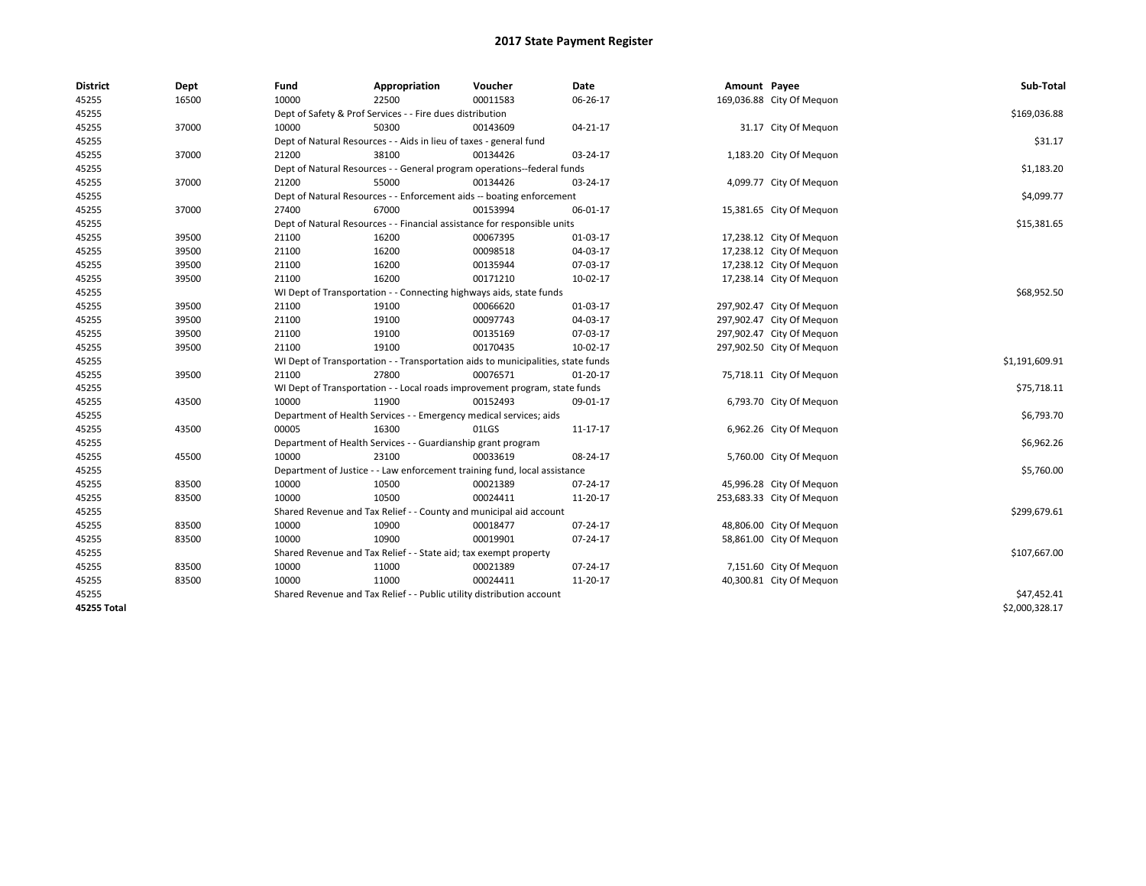| <b>District</b> | Dept  | Fund                                                                             | Appropriation                                                              | Voucher  | Date           | Amount Payee |                           | Sub-Total      |  |  |
|-----------------|-------|----------------------------------------------------------------------------------|----------------------------------------------------------------------------|----------|----------------|--------------|---------------------------|----------------|--|--|
| 45255           | 16500 | 10000                                                                            | 22500                                                                      | 00011583 | 06-26-17       |              | 169,036.88 City Of Mequon |                |  |  |
| 45255           |       |                                                                                  | Dept of Safety & Prof Services - - Fire dues distribution                  |          |                |              |                           | \$169,036.88   |  |  |
| 45255           | 37000 | 10000                                                                            | 50300                                                                      | 00143609 | $04 - 21 - 17$ |              | 31.17 City Of Mequon      |                |  |  |
| 45255           |       |                                                                                  | Dept of Natural Resources - - Aids in lieu of taxes - general fund         |          |                |              |                           |                |  |  |
| 45255           | 37000 | 21200                                                                            | 38100                                                                      | 00134426 | 03-24-17       |              | 1,183.20 City Of Mequon   |                |  |  |
| 45255           |       |                                                                                  | Dept of Natural Resources - - General program operations--federal funds    |          |                |              |                           | \$1,183.20     |  |  |
| 45255           | 37000 | 21200                                                                            | 55000                                                                      | 00134426 | 03-24-17       |              | 4,099.77 City Of Meguon   |                |  |  |
| 45255           |       |                                                                                  | Dept of Natural Resources - - Enforcement aids -- boating enforcement      |          |                |              |                           | \$4,099.77     |  |  |
| 45255           | 37000 | 27400                                                                            | 67000                                                                      | 00153994 | 06-01-17       |              | 15,381.65 City Of Mequon  |                |  |  |
| 45255           |       |                                                                                  | Dept of Natural Resources - - Financial assistance for responsible units   |          |                |              |                           |                |  |  |
| 45255           | 39500 | 21100                                                                            | 16200                                                                      | 00067395 | 01-03-17       |              | 17,238.12 City Of Mequon  |                |  |  |
| 45255           | 39500 | 21100                                                                            | 16200                                                                      | 00098518 | 04-03-17       |              | 17,238.12 City Of Mequon  |                |  |  |
| 45255           | 39500 | 21100                                                                            | 16200                                                                      | 00135944 | 07-03-17       |              | 17,238.12 City Of Mequon  |                |  |  |
| 45255           | 39500 | 21100                                                                            | 16200                                                                      | 00171210 | 10-02-17       |              | 17,238.14 City Of Mequon  |                |  |  |
| 45255           |       |                                                                                  | WI Dept of Transportation - - Connecting highways aids, state funds        |          |                |              |                           | \$68,952.50    |  |  |
| 45255           | 39500 | 21100                                                                            | 19100                                                                      | 00066620 | 01-03-17       |              | 297,902.47 City Of Mequon |                |  |  |
| 45255           | 39500 | 21100                                                                            | 19100                                                                      | 00097743 | 04-03-17       |              | 297,902.47 City Of Mequon |                |  |  |
| 45255           | 39500 | 21100                                                                            | 19100                                                                      | 00135169 | 07-03-17       |              | 297,902.47 City Of Mequon |                |  |  |
| 45255           | 39500 | 21100                                                                            | 19100                                                                      | 00170435 | 10-02-17       |              | 297,902.50 City Of Mequon |                |  |  |
| 45255           |       | WI Dept of Transportation - - Transportation aids to municipalities, state funds | \$1,191,609.91                                                             |          |                |              |                           |                |  |  |
| 45255           | 39500 | 21100                                                                            | 27800                                                                      | 00076571 | $01-20-17$     |              | 75,718.11 City Of Mequon  |                |  |  |
| 45255           |       |                                                                                  | WI Dept of Transportation - - Local roads improvement program, state funds |          |                |              |                           | \$75,718.11    |  |  |
| 45255           | 43500 | 10000                                                                            | 11900                                                                      | 00152493 | 09-01-17       |              | 6,793.70 City Of Mequon   |                |  |  |
| 45255           |       |                                                                                  | Department of Health Services - - Emergency medical services; aids         |          |                |              |                           | \$6,793.70     |  |  |
| 45255           | 43500 | 00005                                                                            | 16300                                                                      | 01LGS    | 11-17-17       |              | 6,962.26 City Of Mequon   |                |  |  |
| 45255           |       |                                                                                  | Department of Health Services - - Guardianship grant program               |          |                |              |                           | \$6,962.26     |  |  |
| 45255           | 45500 | 10000                                                                            | 23100                                                                      | 00033619 | 08-24-17       |              | 5,760.00 City Of Mequon   |                |  |  |
| 45255           |       |                                                                                  | Department of Justice - - Law enforcement training fund, local assistance  |          |                |              |                           | \$5,760.00     |  |  |
| 45255           | 83500 | 10000                                                                            | 10500                                                                      | 00021389 | 07-24-17       |              | 45,996.28 City Of Meguon  |                |  |  |
| 45255           | 83500 | 10000                                                                            | 10500                                                                      | 00024411 | 11-20-17       |              | 253,683.33 City Of Mequon |                |  |  |
| 45255           |       |                                                                                  | Shared Revenue and Tax Relief - - County and municipal aid account         |          |                |              |                           | \$299,679.61   |  |  |
| 45255           | 83500 | 10000                                                                            | 10900                                                                      | 00018477 | 07-24-17       |              | 48,806.00 City Of Mequon  |                |  |  |
| 45255           | 83500 | 10000                                                                            | 10900                                                                      | 00019901 | 07-24-17       |              | 58,861.00 City Of Meguon  |                |  |  |
| 45255           |       |                                                                                  | Shared Revenue and Tax Relief - - State aid; tax exempt property           |          |                |              |                           | \$107,667.00   |  |  |
| 45255           | 83500 | 10000                                                                            | 11000                                                                      | 00021389 | 07-24-17       |              | 7,151.60 City Of Meguon   |                |  |  |
| 45255           | 83500 | 10000                                                                            | 11000                                                                      | 00024411 | 11-20-17       |              | 40,300.81 City Of Mequon  |                |  |  |
| 45255           |       |                                                                                  | Shared Revenue and Tax Relief - - Public utility distribution account      |          |                |              |                           | \$47,452.41    |  |  |
| 45255 Total     |       |                                                                                  |                                                                            |          |                |              |                           | \$2,000,328.17 |  |  |